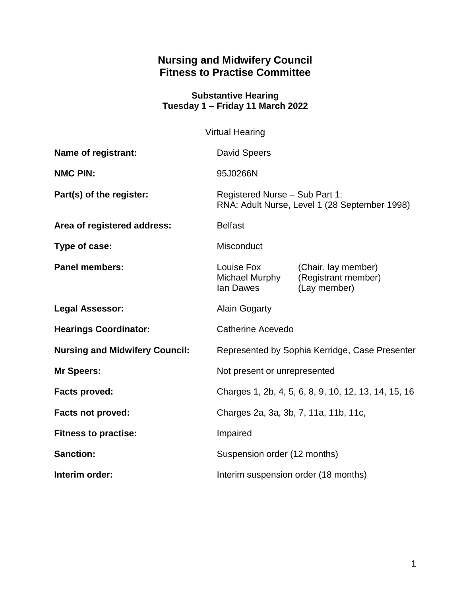# **Nursing and Midwifery Council Fitness to Practise Committee**

#### **Substantive Hearing Tuesday 1 – Friday 11 March 2022**

|                                       | <b>Virtual Hearing</b>                                                          |                                                            |
|---------------------------------------|---------------------------------------------------------------------------------|------------------------------------------------------------|
| Name of registrant:                   | <b>David Speers</b>                                                             |                                                            |
| <b>NMC PIN:</b>                       | 95J0266N                                                                        |                                                            |
| Part(s) of the register:              | Registered Nurse - Sub Part 1:<br>RNA: Adult Nurse, Level 1 (28 September 1998) |                                                            |
| Area of registered address:           | <b>Belfast</b>                                                                  |                                                            |
| Type of case:                         | Misconduct                                                                      |                                                            |
| <b>Panel members:</b>                 | Louise Fox<br>Michael Murphy<br>lan Dawes                                       | (Chair, lay member)<br>(Registrant member)<br>(Lay member) |
| <b>Legal Assessor:</b>                | <b>Alain Gogarty</b>                                                            |                                                            |
| <b>Hearings Coordinator:</b>          | Catherine Acevedo                                                               |                                                            |
| <b>Nursing and Midwifery Council:</b> | Represented by Sophia Kerridge, Case Presenter                                  |                                                            |
| <b>Mr Speers:</b>                     | Not present or unrepresented                                                    |                                                            |
| <b>Facts proved:</b>                  | Charges 1, 2b, 4, 5, 6, 8, 9, 10, 12, 13, 14, 15, 16                            |                                                            |
| <b>Facts not proved:</b>              | Charges 2a, 3a, 3b, 7, 11a, 11b, 11c,                                           |                                                            |
| <b>Fitness to practise:</b>           | Impaired                                                                        |                                                            |
| <b>Sanction:</b>                      | Suspension order (12 months)                                                    |                                                            |
| Interim order:                        | Interim suspension order (18 months)                                            |                                                            |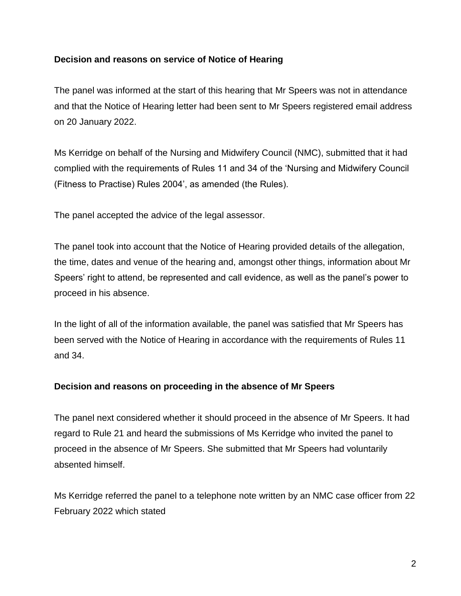# **Decision and reasons on service of Notice of Hearing**

The panel was informed at the start of this hearing that Mr Speers was not in attendance and that the Notice of Hearing letter had been sent to Mr Speers registered email address on 20 January 2022.

Ms Kerridge on behalf of the Nursing and Midwifery Council (NMC), submitted that it had complied with the requirements of Rules 11 and 34 of the 'Nursing and Midwifery Council (Fitness to Practise) Rules 2004', as amended (the Rules).

The panel accepted the advice of the legal assessor.

The panel took into account that the Notice of Hearing provided details of the allegation, the time, dates and venue of the hearing and, amongst other things, information about Mr Speers' right to attend, be represented and call evidence, as well as the panel's power to proceed in his absence.

In the light of all of the information available, the panel was satisfied that Mr Speers has been served with the Notice of Hearing in accordance with the requirements of Rules 11 and 34.

#### **Decision and reasons on proceeding in the absence of Mr Speers**

The panel next considered whether it should proceed in the absence of Mr Speers. It had regard to Rule 21 and heard the submissions of Ms Kerridge who invited the panel to proceed in the absence of Mr Speers. She submitted that Mr Speers had voluntarily absented himself.

Ms Kerridge referred the panel to a telephone note written by an NMC case officer from 22 February 2022 which stated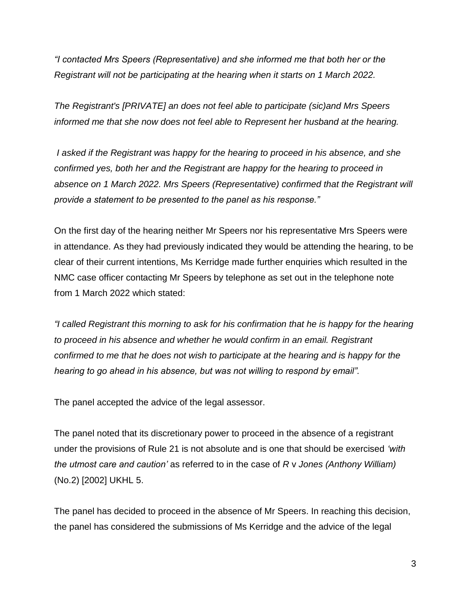*"I contacted Mrs Speers (Representative) and she informed me that both her or the Registrant will not be participating at the hearing when it starts on 1 March 2022.* 

*The Registrant's [PRIVATE] an does not feel able to participate (sic)and Mrs Speers informed me that she now does not feel able to Represent her husband at the hearing.* 

*I asked if the Registrant was happy for the hearing to proceed in his absence, and she confirmed yes, both her and the Registrant are happy for the hearing to proceed in absence on 1 March 2022. Mrs Speers (Representative) confirmed that the Registrant will provide a statement to be presented to the panel as his response."*

On the first day of the hearing neither Mr Speers nor his representative Mrs Speers were in attendance. As they had previously indicated they would be attending the hearing, to be clear of their current intentions, Ms Kerridge made further enquiries which resulted in the NMC case officer contacting Mr Speers by telephone as set out in the telephone note from 1 March 2022 which stated:

*"I called Registrant this morning to ask for his confirmation that he is happy for the hearing to proceed in his absence and whether he would confirm in an email. Registrant confirmed to me that he does not wish to participate at the hearing and is happy for the hearing to go ahead in his absence, but was not willing to respond by email".*

The panel accepted the advice of the legal assessor.

The panel noted that its discretionary power to proceed in the absence of a registrant under the provisions of Rule 21 is not absolute and is one that should be exercised *'with the utmost care and caution'* as referred to in the case of *R* v *Jones (Anthony William)* (No.2) [2002] UKHL 5.

The panel has decided to proceed in the absence of Mr Speers. In reaching this decision, the panel has considered the submissions of Ms Kerridge and the advice of the legal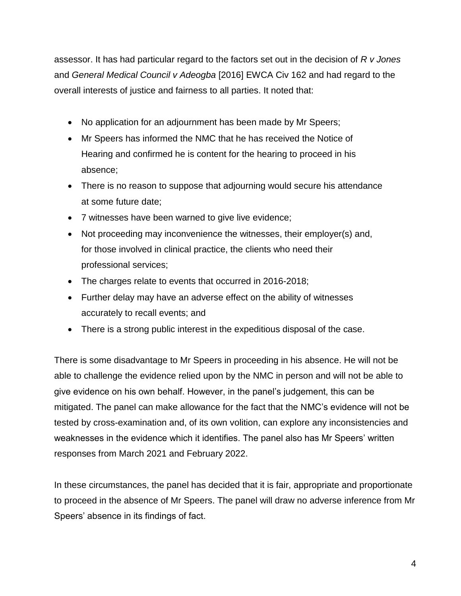assessor. It has had particular regard to the factors set out in the decision of *R v Jones*  and *General Medical Council v Adeogba* [2016] EWCA Civ 162 and had regard to the overall interests of justice and fairness to all parties. It noted that:

- No application for an adjournment has been made by Mr Speers;
- Mr Speers has informed the NMC that he has received the Notice of Hearing and confirmed he is content for the hearing to proceed in his absence;
- There is no reason to suppose that adjourning would secure his attendance at some future date;
- 7 witnesses have been warned to give live evidence;
- Not proceeding may inconvenience the witnesses, their employer(s) and, for those involved in clinical practice, the clients who need their professional services;
- The charges relate to events that occurred in 2016-2018;
- Further delay may have an adverse effect on the ability of witnesses accurately to recall events; and
- There is a strong public interest in the expeditious disposal of the case.

There is some disadvantage to Mr Speers in proceeding in his absence. He will not be able to challenge the evidence relied upon by the NMC in person and will not be able to give evidence on his own behalf. However, in the panel's judgement, this can be mitigated. The panel can make allowance for the fact that the NMC's evidence will not be tested by cross-examination and, of its own volition, can explore any inconsistencies and weaknesses in the evidence which it identifies. The panel also has Mr Speers' written responses from March 2021 and February 2022.

In these circumstances, the panel has decided that it is fair, appropriate and proportionate to proceed in the absence of Mr Speers. The panel will draw no adverse inference from Mr Speers' absence in its findings of fact.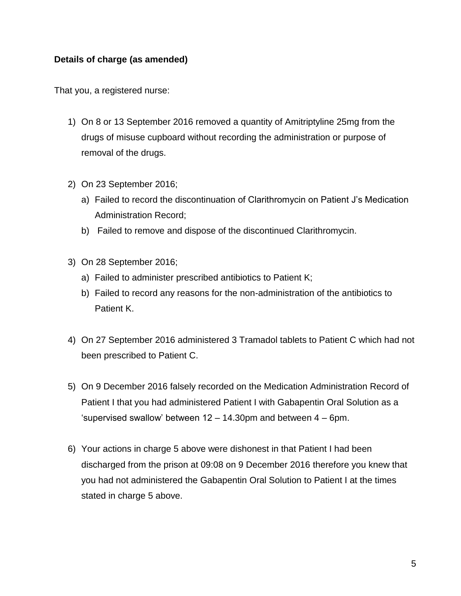# **Details of charge (as amended)**

That you, a registered nurse:

- 1) On 8 or 13 September 2016 removed a quantity of Amitriptyline 25mg from the drugs of misuse cupboard without recording the administration or purpose of removal of the drugs.
- 2) On 23 September 2016;
	- a) Failed to record the discontinuation of Clarithromycin on Patient J's Medication Administration Record;
	- b) Failed to remove and dispose of the discontinued Clarithromycin.
- 3) On 28 September 2016;
	- a) Failed to administer prescribed antibiotics to Patient K;
	- b) Failed to record any reasons for the non-administration of the antibiotics to Patient K.
- 4) On 27 September 2016 administered 3 Tramadol tablets to Patient C which had not been prescribed to Patient C.
- 5) On 9 December 2016 falsely recorded on the Medication Administration Record of Patient I that you had administered Patient I with Gabapentin Oral Solution as a 'supervised swallow' between 12 – 14.30pm and between 4 – 6pm.
- 6) Your actions in charge 5 above were dishonest in that Patient I had been discharged from the prison at 09:08 on 9 December 2016 therefore you knew that you had not administered the Gabapentin Oral Solution to Patient I at the times stated in charge 5 above.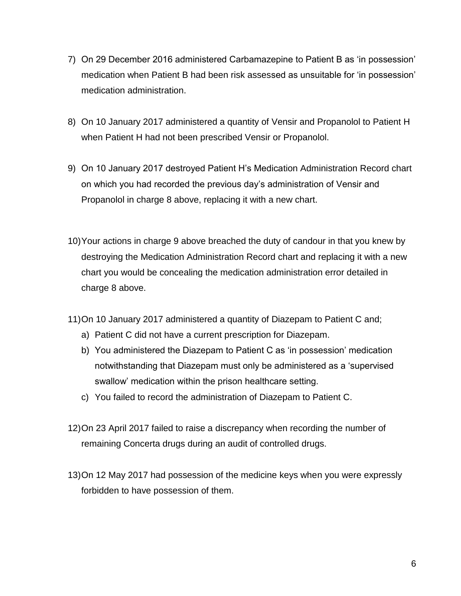- 7) On 29 December 2016 administered Carbamazepine to Patient B as 'in possession' medication when Patient B had been risk assessed as unsuitable for 'in possession' medication administration.
- 8) On 10 January 2017 administered a quantity of Vensir and Propanolol to Patient H when Patient H had not been prescribed Vensir or Propanolol.
- 9) On 10 January 2017 destroyed Patient H's Medication Administration Record chart on which you had recorded the previous day's administration of Vensir and Propanolol in charge 8 above, replacing it with a new chart.
- 10)Your actions in charge 9 above breached the duty of candour in that you knew by destroying the Medication Administration Record chart and replacing it with a new chart you would be concealing the medication administration error detailed in charge 8 above.
- 11)On 10 January 2017 administered a quantity of Diazepam to Patient C and;
	- a) Patient C did not have a current prescription for Diazepam.
	- b) You administered the Diazepam to Patient C as 'in possession' medication notwithstanding that Diazepam must only be administered as a 'supervised swallow' medication within the prison healthcare setting.
	- c) You failed to record the administration of Diazepam to Patient C.
- 12)On 23 April 2017 failed to raise a discrepancy when recording the number of remaining Concerta drugs during an audit of controlled drugs.
- 13)On 12 May 2017 had possession of the medicine keys when you were expressly forbidden to have possession of them.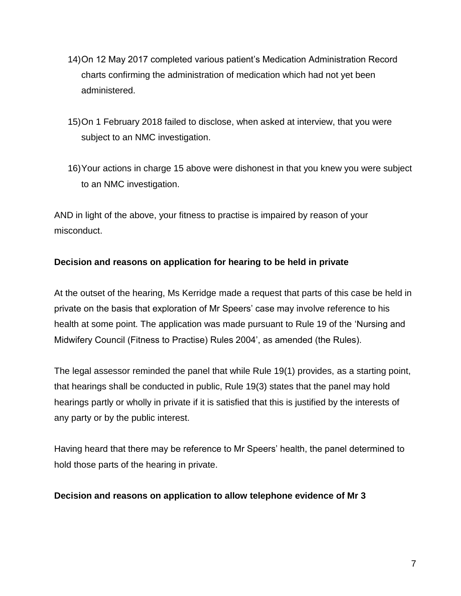- 14)On 12 May 2017 completed various patient's Medication Administration Record charts confirming the administration of medication which had not yet been administered.
- 15)On 1 February 2018 failed to disclose, when asked at interview, that you were subject to an NMC investigation.
- 16)Your actions in charge 15 above were dishonest in that you knew you were subject to an NMC investigation.

AND in light of the above, your fitness to practise is impaired by reason of your misconduct.

# **Decision and reasons on application for hearing to be held in private**

At the outset of the hearing, Ms Kerridge made a request that parts of this case be held in private on the basis that exploration of Mr Speers' case may involve reference to his health at some point. The application was made pursuant to Rule 19 of the 'Nursing and Midwifery Council (Fitness to Practise) Rules 2004', as amended (the Rules).

The legal assessor reminded the panel that while Rule 19(1) provides, as a starting point, that hearings shall be conducted in public, Rule 19(3) states that the panel may hold hearings partly or wholly in private if it is satisfied that this is justified by the interests of any party or by the public interest.

Having heard that there may be reference to Mr Speers' health, the panel determined to hold those parts of the hearing in private.

# **Decision and reasons on application to allow telephone evidence of Mr 3**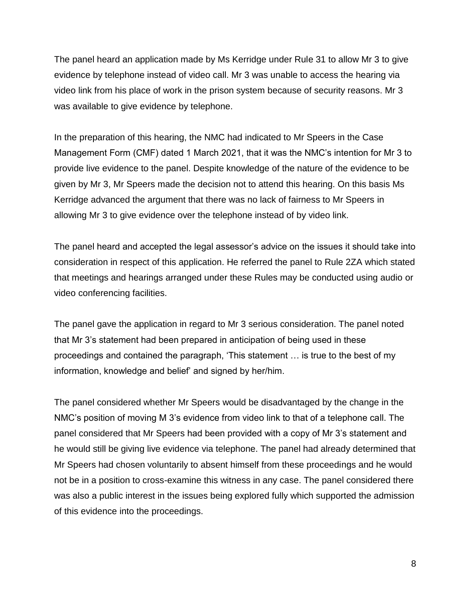The panel heard an application made by Ms Kerridge under Rule 31 to allow Mr 3 to give evidence by telephone instead of video call. Mr 3 was unable to access the hearing via video link from his place of work in the prison system because of security reasons. Mr 3 was available to give evidence by telephone.

In the preparation of this hearing, the NMC had indicated to Mr Speers in the Case Management Form (CMF) dated 1 March 2021, that it was the NMC's intention for Mr 3 to provide live evidence to the panel. Despite knowledge of the nature of the evidence to be given by Mr 3, Mr Speers made the decision not to attend this hearing. On this basis Ms Kerridge advanced the argument that there was no lack of fairness to Mr Speers in allowing Mr 3 to give evidence over the telephone instead of by video link.

The panel heard and accepted the legal assessor's advice on the issues it should take into consideration in respect of this application. He referred the panel to Rule 2ZA which stated that meetings and hearings arranged under these Rules may be conducted using audio or video conferencing facilities.

The panel gave the application in regard to Mr 3 serious consideration. The panel noted that Mr 3's statement had been prepared in anticipation of being used in these proceedings and contained the paragraph, 'This statement … is true to the best of my information, knowledge and belief' and signed by her/him.

The panel considered whether Mr Speers would be disadvantaged by the change in the NMC's position of moving M 3's evidence from video link to that of a telephone call. The panel considered that Mr Speers had been provided with a copy of Mr 3's statement and he would still be giving live evidence via telephone. The panel had already determined that Mr Speers had chosen voluntarily to absent himself from these proceedings and he would not be in a position to cross-examine this witness in any case. The panel considered there was also a public interest in the issues being explored fully which supported the admission of this evidence into the proceedings.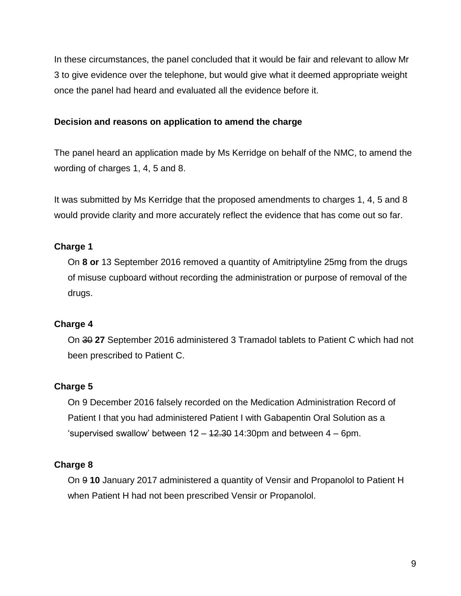In these circumstances, the panel concluded that it would be fair and relevant to allow Mr 3 to give evidence over the telephone, but would give what it deemed appropriate weight once the panel had heard and evaluated all the evidence before it.

# **Decision and reasons on application to amend the charge**

The panel heard an application made by Ms Kerridge on behalf of the NMC, to amend the wording of charges 1, 4, 5 and 8.

It was submitted by Ms Kerridge that the proposed amendments to charges 1, 4, 5 and 8 would provide clarity and more accurately reflect the evidence that has come out so far.

# **Charge 1**

On **8 or** 13 September 2016 removed a quantity of Amitriptyline 25mg from the drugs of misuse cupboard without recording the administration or purpose of removal of the drugs.

# **Charge 4**

On 30 **27** September 2016 administered 3 Tramadol tablets to Patient C which had not been prescribed to Patient C.

# **Charge 5**

On 9 December 2016 falsely recorded on the Medication Administration Record of Patient I that you had administered Patient I with Gabapentin Oral Solution as a 'supervised swallow' between  $12 - 12.30$  14:30pm and between  $4 - 6$ pm.

# **Charge 8**

On 9 **10** January 2017 administered a quantity of Vensir and Propanolol to Patient H when Patient H had not been prescribed Vensir or Propanolol.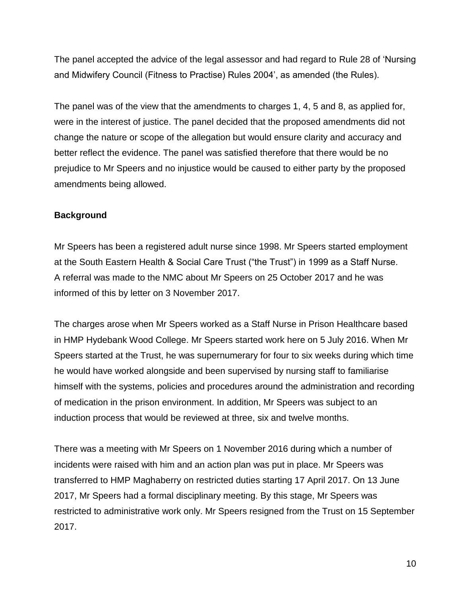The panel accepted the advice of the legal assessor and had regard to Rule 28 of 'Nursing and Midwifery Council (Fitness to Practise) Rules 2004', as amended (the Rules).

The panel was of the view that the amendments to charges 1, 4, 5 and 8, as applied for, were in the interest of justice. The panel decided that the proposed amendments did not change the nature or scope of the allegation but would ensure clarity and accuracy and better reflect the evidence. The panel was satisfied therefore that there would be no prejudice to Mr Speers and no injustice would be caused to either party by the proposed amendments being allowed.

# **Background**

Mr Speers has been a registered adult nurse since 1998. Mr Speers started employment at the South Eastern Health & Social Care Trust ("the Trust") in 1999 as a Staff Nurse. A referral was made to the NMC about Mr Speers on 25 October 2017 and he was informed of this by letter on 3 November 2017.

The charges arose when Mr Speers worked as a Staff Nurse in Prison Healthcare based in HMP Hydebank Wood College. Mr Speers started work here on 5 July 2016. When Mr Speers started at the Trust, he was supernumerary for four to six weeks during which time he would have worked alongside and been supervised by nursing staff to familiarise himself with the systems, policies and procedures around the administration and recording of medication in the prison environment. In addition, Mr Speers was subject to an induction process that would be reviewed at three, six and twelve months.

There was a meeting with Mr Speers on 1 November 2016 during which a number of incidents were raised with him and an action plan was put in place. Mr Speers was transferred to HMP Maghaberry on restricted duties starting 17 April 2017. On 13 June 2017, Mr Speers had a formal disciplinary meeting. By this stage, Mr Speers was restricted to administrative work only. Mr Speers resigned from the Trust on 15 September 2017.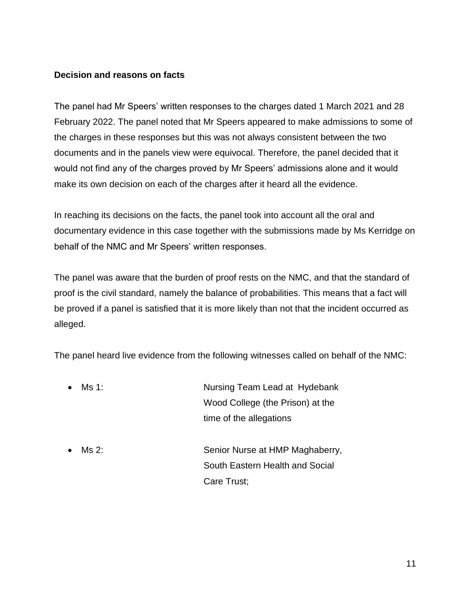### **Decision and reasons on facts**

The panel had Mr Speers' written responses to the charges dated 1 March 2021 and 28 February 2022. The panel noted that Mr Speers appeared to make admissions to some of the charges in these responses but this was not always consistent between the two documents and in the panels view were equivocal. Therefore, the panel decided that it would not find any of the charges proved by Mr Speers' admissions alone and it would make its own decision on each of the charges after it heard all the evidence.

In reaching its decisions on the facts, the panel took into account all the oral and documentary evidence in this case together with the submissions made by Ms Kerridge on behalf of the NMC and Mr Speers' written responses.

The panel was aware that the burden of proof rests on the NMC, and that the standard of proof is the civil standard, namely the balance of probabilities. This means that a fact will be proved if a panel is satisfied that it is more likely than not that the incident occurred as alleged.

The panel heard live evidence from the following witnesses called on behalf of the NMC:

| $\bullet$ | Ms 1: | Nursing Team Lead at Hydebank    |  |
|-----------|-------|----------------------------------|--|
|           |       | Wood College (the Prison) at the |  |
|           |       | time of the allegations          |  |
| $\bullet$ | Ms 2: | Senior Nurse at HMP Maghaberry,  |  |

South Eastern Health and Social Care Trust;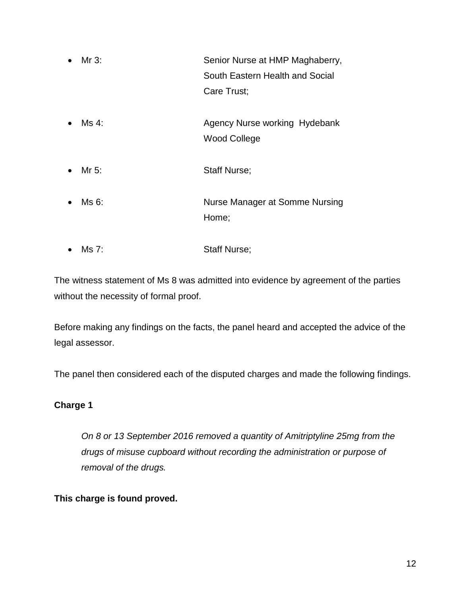- Mr 3: Senior Nurse at HMP Maghaberry, South Eastern Health and Social Care Trust;
- Ms 4: **Agency Nurse working Hydebank** Wood College
- Mr 5: Staff Nurse;
- Ms 6: Nurse Manager at Somme Nursing Home;
- Ms 7: Staff Nurse;

The witness statement of Ms 8 was admitted into evidence by agreement of the parties without the necessity of formal proof.

Before making any findings on the facts, the panel heard and accepted the advice of the legal assessor.

The panel then considered each of the disputed charges and made the following findings.

# **Charge 1**

*On 8 or 13 September 2016 removed a quantity of Amitriptyline 25mg from the drugs of misuse cupboard without recording the administration or purpose of removal of the drugs.*

# **This charge is found proved.**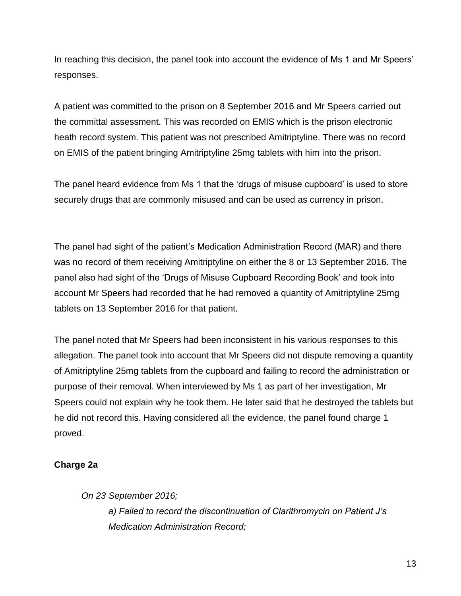In reaching this decision, the panel took into account the evidence of Ms 1 and Mr Speers' responses.

A patient was committed to the prison on 8 September 2016 and Mr Speers carried out the committal assessment. This was recorded on EMIS which is the prison electronic heath record system. This patient was not prescribed Amitriptyline. There was no record on EMIS of the patient bringing Amitriptyline 25mg tablets with him into the prison.

The panel heard evidence from Ms 1 that the 'drugs of misuse cupboard' is used to store securely drugs that are commonly misused and can be used as currency in prison.

The panel had sight of the patient's Medication Administration Record (MAR) and there was no record of them receiving Amitriptyline on either the 8 or 13 September 2016. The panel also had sight of the 'Drugs of Misuse Cupboard Recording Book' and took into account Mr Speers had recorded that he had removed a quantity of Amitriptyline 25mg tablets on 13 September 2016 for that patient.

The panel noted that Mr Speers had been inconsistent in his various responses to this allegation. The panel took into account that Mr Speers did not dispute removing a quantity of Amitriptyline 25mg tablets from the cupboard and failing to record the administration or purpose of their removal. When interviewed by Ms 1 as part of her investigation, Mr Speers could not explain why he took them. He later said that he destroyed the tablets but he did not record this. Having considered all the evidence, the panel found charge 1 proved.

# **Charge 2a**

*On 23 September 2016;*

*a) Failed to record the discontinuation of Clarithromycin on Patient J's Medication Administration Record;*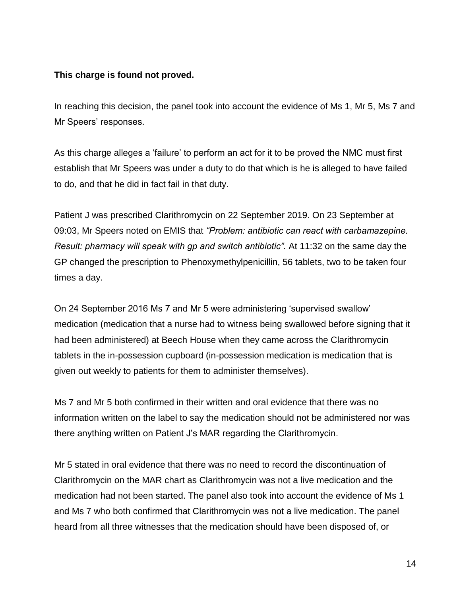### **This charge is found not proved.**

In reaching this decision, the panel took into account the evidence of Ms 1, Mr 5, Ms 7 and Mr Speers' responses.

As this charge alleges a 'failure' to perform an act for it to be proved the NMC must first establish that Mr Speers was under a duty to do that which is he is alleged to have failed to do, and that he did in fact fail in that duty.

Patient J was prescribed Clarithromycin on 22 September 2019. On 23 September at 09:03, Mr Speers noted on EMIS that *"Problem: antibiotic can react with carbamazepine. Result: pharmacy will speak with gp and switch antibiotic".* At 11:32 on the same day the GP changed the prescription to Phenoxymethylpenicillin, 56 tablets, two to be taken four times a day.

On 24 September 2016 Ms 7 and Mr 5 were administering 'supervised swallow' medication (medication that a nurse had to witness being swallowed before signing that it had been administered) at Beech House when they came across the Clarithromycin tablets in the in-possession cupboard (in-possession medication is medication that is given out weekly to patients for them to administer themselves).

Ms 7 and Mr 5 both confirmed in their written and oral evidence that there was no information written on the label to say the medication should not be administered nor was there anything written on Patient J's MAR regarding the Clarithromycin.

Mr 5 stated in oral evidence that there was no need to record the discontinuation of Clarithromycin on the MAR chart as Clarithromycin was not a live medication and the medication had not been started. The panel also took into account the evidence of Ms 1 and Ms 7 who both confirmed that Clarithromycin was not a live medication. The panel heard from all three witnesses that the medication should have been disposed of, or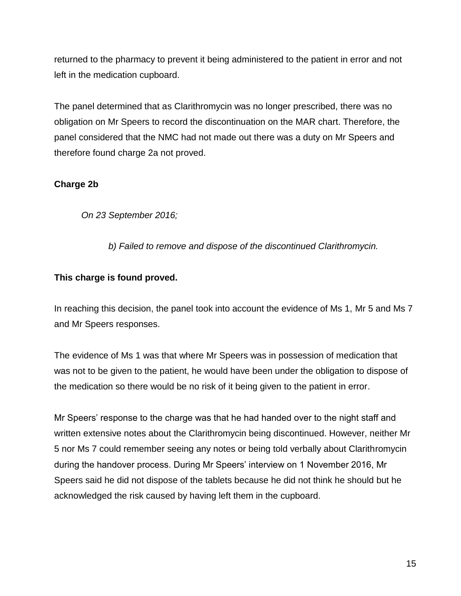returned to the pharmacy to prevent it being administered to the patient in error and not left in the medication cupboard.

The panel determined that as Clarithromycin was no longer prescribed, there was no obligation on Mr Speers to record the discontinuation on the MAR chart. Therefore, the panel considered that the NMC had not made out there was a duty on Mr Speers and therefore found charge 2a not proved.

# **Charge 2b**

*On 23 September 2016;*

*b) Failed to remove and dispose of the discontinued Clarithromycin.*

# **This charge is found proved.**

In reaching this decision, the panel took into account the evidence of Ms 1, Mr 5 and Ms 7 and Mr Speers responses.

The evidence of Ms 1 was that where Mr Speers was in possession of medication that was not to be given to the patient, he would have been under the obligation to dispose of the medication so there would be no risk of it being given to the patient in error.

Mr Speers' response to the charge was that he had handed over to the night staff and written extensive notes about the Clarithromycin being discontinued. However, neither Mr 5 nor Ms 7 could remember seeing any notes or being told verbally about Clarithromycin during the handover process. During Mr Speers' interview on 1 November 2016, Mr Speers said he did not dispose of the tablets because he did not think he should but he acknowledged the risk caused by having left them in the cupboard.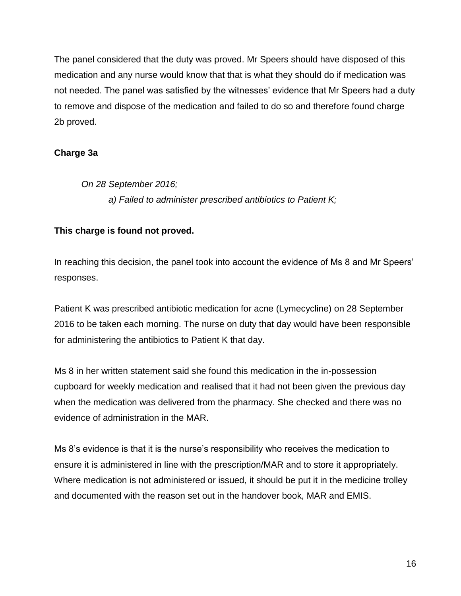The panel considered that the duty was proved. Mr Speers should have disposed of this medication and any nurse would know that that is what they should do if medication was not needed. The panel was satisfied by the witnesses' evidence that Mr Speers had a duty to remove and dispose of the medication and failed to do so and therefore found charge 2b proved.

# **Charge 3a**

*On 28 September 2016; a) Failed to administer prescribed antibiotics to Patient K;*

# **This charge is found not proved.**

In reaching this decision, the panel took into account the evidence of Ms 8 and Mr Speers' responses.

Patient K was prescribed antibiotic medication for acne (Lymecycline) on 28 September 2016 to be taken each morning. The nurse on duty that day would have been responsible for administering the antibiotics to Patient K that day.

Ms 8 in her written statement said she found this medication in the in-possession cupboard for weekly medication and realised that it had not been given the previous day when the medication was delivered from the pharmacy. She checked and there was no evidence of administration in the MAR.

Ms 8's evidence is that it is the nurse's responsibility who receives the medication to ensure it is administered in line with the prescription/MAR and to store it appropriately. Where medication is not administered or issued, it should be put it in the medicine trolley and documented with the reason set out in the handover book, MAR and EMIS.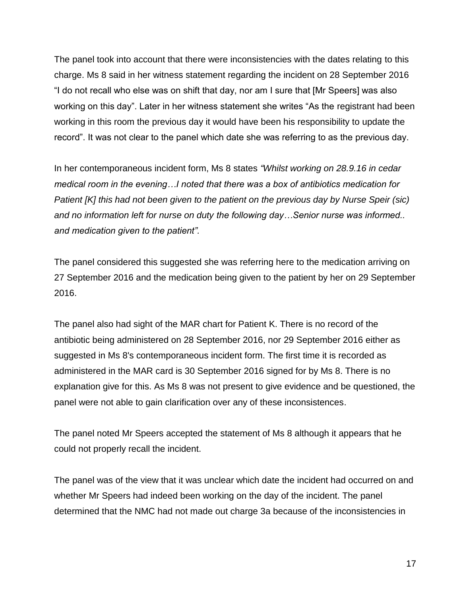The panel took into account that there were inconsistencies with the dates relating to this charge. Ms 8 said in her witness statement regarding the incident on 28 September 2016 "I do not recall who else was on shift that day, nor am I sure that [Mr Speers] was also working on this day". Later in her witness statement she writes "As the registrant had been working in this room the previous day it would have been his responsibility to update the record". It was not clear to the panel which date she was referring to as the previous day.

In her contemporaneous incident form, Ms 8 states *"Whilst working on 28.9.16 in cedar medical room in the evening…I noted that there was a box of antibiotics medication for Patient [K] this had not been given to the patient on the previous day by Nurse Speir (sic) and no information left for nurse on duty the following day…Senior nurse was informed.. and medication given to the patient".*

The panel considered this suggested she was referring here to the medication arriving on 27 September 2016 and the medication being given to the patient by her on 29 September 2016.

The panel also had sight of the MAR chart for Patient K. There is no record of the antibiotic being administered on 28 September 2016, nor 29 September 2016 either as suggested in Ms 8's contemporaneous incident form. The first time it is recorded as administered in the MAR card is 30 September 2016 signed for by Ms 8. There is no explanation give for this. As Ms 8 was not present to give evidence and be questioned, the panel were not able to gain clarification over any of these inconsistences.

The panel noted Mr Speers accepted the statement of Ms 8 although it appears that he could not properly recall the incident.

The panel was of the view that it was unclear which date the incident had occurred on and whether Mr Speers had indeed been working on the day of the incident. The panel determined that the NMC had not made out charge 3a because of the inconsistencies in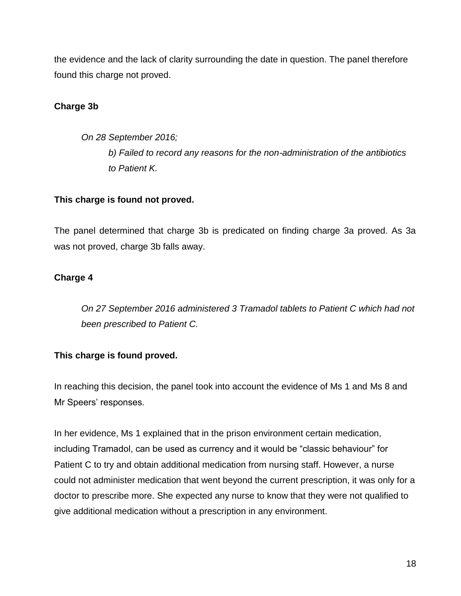the evidence and the lack of clarity surrounding the date in question. The panel therefore found this charge not proved.

# **Charge 3b**

*On 28 September 2016; b) Failed to record any reasons for the non-administration of the antibiotics to Patient K.*

# **This charge is found not proved.**

The panel determined that charge 3b is predicated on finding charge 3a proved. As 3a was not proved, charge 3b falls away.

# **Charge 4**

*On 27 September 2016 administered 3 Tramadol tablets to Patient C which had not been prescribed to Patient C.*

# **This charge is found proved.**

In reaching this decision, the panel took into account the evidence of Ms 1 and Ms 8 and Mr Speers' responses.

In her evidence, Ms 1 explained that in the prison environment certain medication, including Tramadol, can be used as currency and it would be "classic behaviour" for Patient C to try and obtain additional medication from nursing staff. However, a nurse could not administer medication that went beyond the current prescription, it was only for a doctor to prescribe more. She expected any nurse to know that they were not qualified to give additional medication without a prescription in any environment.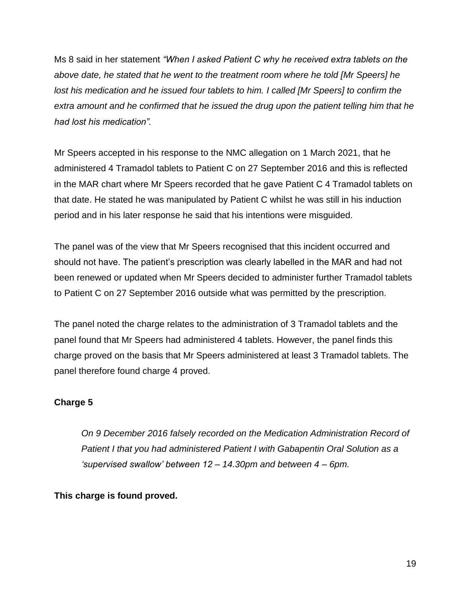Ms 8 said in her statement *"When I asked Patient C why he received extra tablets on the above date, he stated that he went to the treatment room where he told [Mr Speers] he lost his medication and he issued four tablets to him. I called [Mr Speers] to confirm the extra amount and he confirmed that he issued the drug upon the patient telling him that he had lost his medication".*

Mr Speers accepted in his response to the NMC allegation on 1 March 2021, that he administered 4 Tramadol tablets to Patient C on 27 September 2016 and this is reflected in the MAR chart where Mr Speers recorded that he gave Patient C 4 Tramadol tablets on that date. He stated he was manipulated by Patient C whilst he was still in his induction period and in his later response he said that his intentions were misguided.

The panel was of the view that Mr Speers recognised that this incident occurred and should not have. The patient's prescription was clearly labelled in the MAR and had not been renewed or updated when Mr Speers decided to administer further Tramadol tablets to Patient C on 27 September 2016 outside what was permitted by the prescription.

The panel noted the charge relates to the administration of 3 Tramadol tablets and the panel found that Mr Speers had administered 4 tablets. However, the panel finds this charge proved on the basis that Mr Speers administered at least 3 Tramadol tablets. The panel therefore found charge 4 proved.

# **Charge 5**

*On 9 December 2016 falsely recorded on the Medication Administration Record of Patient I that you had administered Patient I with Gabapentin Oral Solution as a 'supervised swallow' between 12 – 14.30pm and between 4 – 6pm.*

# **This charge is found proved.**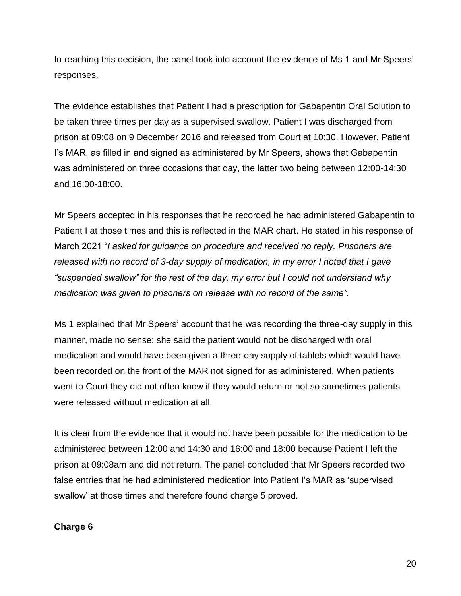In reaching this decision, the panel took into account the evidence of Ms 1 and Mr Speers' responses.

The evidence establishes that Patient I had a prescription for Gabapentin Oral Solution to be taken three times per day as a supervised swallow. Patient I was discharged from prison at 09:08 on 9 December 2016 and released from Court at 10:30. However, Patient I's MAR, as filled in and signed as administered by Mr Speers, shows that Gabapentin was administered on three occasions that day, the latter two being between 12:00-14:30 and 16:00-18:00.

Mr Speers accepted in his responses that he recorded he had administered Gabapentin to Patient I at those times and this is reflected in the MAR chart. He stated in his response of March 2021 "*I asked for guidance on procedure and received no reply. Prisoners are released with no record of 3-day supply of medication, in my error I noted that I gave "suspended swallow" for the rest of the day, my error but I could not understand why medication was given to prisoners on release with no record of the same".*

Ms 1 explained that Mr Speers' account that he was recording the three-day supply in this manner, made no sense: she said the patient would not be discharged with oral medication and would have been given a three-day supply of tablets which would have been recorded on the front of the MAR not signed for as administered. When patients went to Court they did not often know if they would return or not so sometimes patients were released without medication at all.

It is clear from the evidence that it would not have been possible for the medication to be administered between 12:00 and 14:30 and 16:00 and 18:00 because Patient I left the prison at 09:08am and did not return. The panel concluded that Mr Speers recorded two false entries that he had administered medication into Patient I's MAR as 'supervised swallow' at those times and therefore found charge 5 proved.

# **Charge 6**

20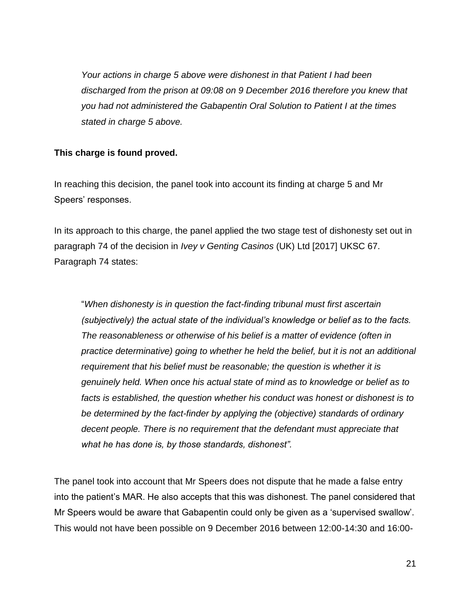*Your actions in charge 5 above were dishonest in that Patient I had been discharged from the prison at 09:08 on 9 December 2016 therefore you knew that you had not administered the Gabapentin Oral Solution to Patient I at the times stated in charge 5 above.*

## **This charge is found proved.**

In reaching this decision, the panel took into account its finding at charge 5 and Mr Speers' responses.

In its approach to this charge, the panel applied the two stage test of dishonesty set out in paragraph 74 of the decision in *Ivey v Genting Casinos* (UK) Ltd [2017] UKSC 67. Paragraph 74 states:

"*When dishonesty is in question the fact-finding tribunal must first ascertain (subjectively) the actual state of the individual's knowledge or belief as to the facts. The reasonableness or otherwise of his belief is a matter of evidence (often in practice determinative) going to whether he held the belief, but it is not an additional requirement that his belief must be reasonable; the question is whether it is genuinely held. When once his actual state of mind as to knowledge or belief as to facts is established, the question whether his conduct was honest or dishonest is to be determined by the fact-finder by applying the (objective) standards of ordinary decent people. There is no requirement that the defendant must appreciate that what he has done is, by those standards, dishonest".*

The panel took into account that Mr Speers does not dispute that he made a false entry into the patient's MAR. He also accepts that this was dishonest. The panel considered that Mr Speers would be aware that Gabapentin could only be given as a 'supervised swallow'. This would not have been possible on 9 December 2016 between 12:00-14:30 and 16:00-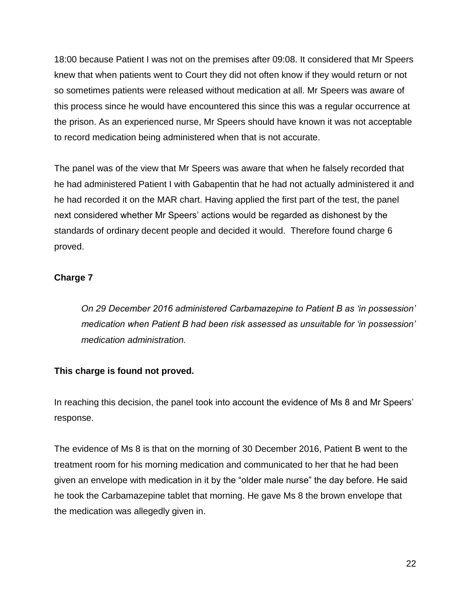18:00 because Patient I was not on the premises after 09:08. It considered that Mr Speers knew that when patients went to Court they did not often know if they would return or not so sometimes patients were released without medication at all. Mr Speers was aware of this process since he would have encountered this since this was a regular occurrence at the prison. As an experienced nurse, Mr Speers should have known it was not acceptable to record medication being administered when that is not accurate.

The panel was of the view that Mr Speers was aware that when he falsely recorded that he had administered Patient I with Gabapentin that he had not actually administered it and he had recorded it on the MAR chart. Having applied the first part of the test, the panel next considered whether Mr Speers' actions would be regarded as dishonest by the standards of ordinary decent people and decided it would. Therefore found charge 6 proved.

# **Charge 7**

*On 29 December 2016 administered Carbamazepine to Patient B as 'in possession' medication when Patient B had been risk assessed as unsuitable for 'in possession' medication administration.*

# **This charge is found not proved.**

In reaching this decision, the panel took into account the evidence of Ms 8 and Mr Speers' response.

The evidence of Ms 8 is that on the morning of 30 December 2016, Patient B went to the treatment room for his morning medication and communicated to her that he had been given an envelope with medication in it by the "older male nurse" the day before. He said he took the Carbamazepine tablet that morning. He gave Ms 8 the brown envelope that the medication was allegedly given in.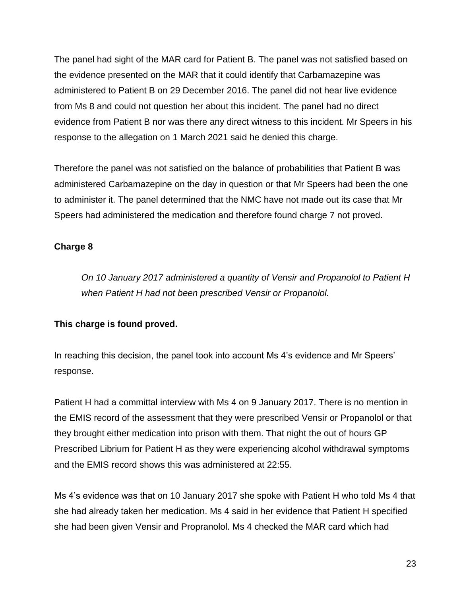The panel had sight of the MAR card for Patient B. The panel was not satisfied based on the evidence presented on the MAR that it could identify that Carbamazepine was administered to Patient B on 29 December 2016. The panel did not hear live evidence from Ms 8 and could not question her about this incident. The panel had no direct evidence from Patient B nor was there any direct witness to this incident. Mr Speers in his response to the allegation on 1 March 2021 said he denied this charge.

Therefore the panel was not satisfied on the balance of probabilities that Patient B was administered Carbamazepine on the day in question or that Mr Speers had been the one to administer it. The panel determined that the NMC have not made out its case that Mr Speers had administered the medication and therefore found charge 7 not proved.

# **Charge 8**

*On 10 January 2017 administered a quantity of Vensir and Propanolol to Patient H when Patient H had not been prescribed Vensir or Propanolol.*

# **This charge is found proved.**

In reaching this decision, the panel took into account Ms 4's evidence and Mr Speers' response.

Patient H had a committal interview with Ms 4 on 9 January 2017. There is no mention in the EMIS record of the assessment that they were prescribed Vensir or Propanolol or that they brought either medication into prison with them. That night the out of hours GP Prescribed Librium for Patient H as they were experiencing alcohol withdrawal symptoms and the EMIS record shows this was administered at 22:55.

Ms 4's evidence was that on 10 January 2017 she spoke with Patient H who told Ms 4 that she had already taken her medication. Ms 4 said in her evidence that Patient H specified she had been given Vensir and Propranolol. Ms 4 checked the MAR card which had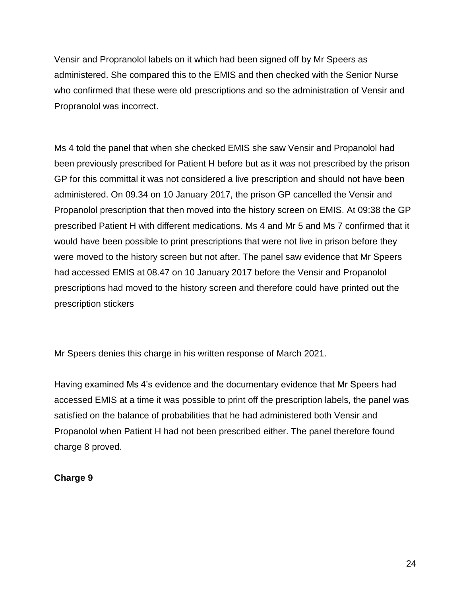Vensir and Propranolol labels on it which had been signed off by Mr Speers as administered. She compared this to the EMIS and then checked with the Senior Nurse who confirmed that these were old prescriptions and so the administration of Vensir and Propranolol was incorrect.

Ms 4 told the panel that when she checked EMIS she saw Vensir and Propanolol had been previously prescribed for Patient H before but as it was not prescribed by the prison GP for this committal it was not considered a live prescription and should not have been administered. On 09.34 on 10 January 2017, the prison GP cancelled the Vensir and Propanolol prescription that then moved into the history screen on EMIS. At 09:38 the GP prescribed Patient H with different medications. Ms 4 and Mr 5 and Ms 7 confirmed that it would have been possible to print prescriptions that were not live in prison before they were moved to the history screen but not after. The panel saw evidence that Mr Speers had accessed EMIS at 08.47 on 10 January 2017 before the Vensir and Propanolol prescriptions had moved to the history screen and therefore could have printed out the prescription stickers

Mr Speers denies this charge in his written response of March 2021.

Having examined Ms 4's evidence and the documentary evidence that Mr Speers had accessed EMIS at a time it was possible to print off the prescription labels, the panel was satisfied on the balance of probabilities that he had administered both Vensir and Propanolol when Patient H had not been prescribed either. The panel therefore found charge 8 proved.

# **Charge 9**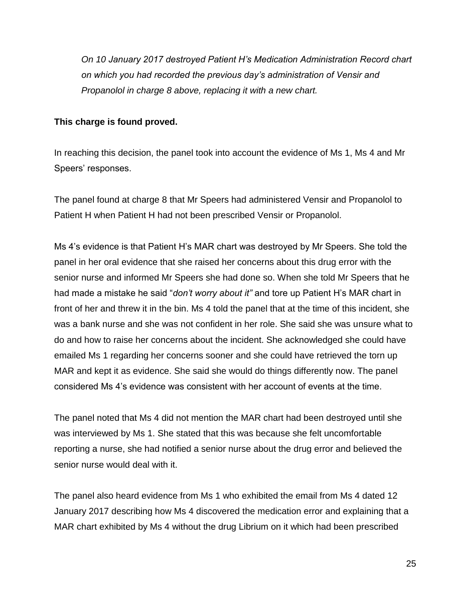*On 10 January 2017 destroyed Patient H's Medication Administration Record chart on which you had recorded the previous day's administration of Vensir and Propanolol in charge 8 above, replacing it with a new chart.*

### **This charge is found proved.**

In reaching this decision, the panel took into account the evidence of Ms 1, Ms 4 and Mr Speers' responses.

The panel found at charge 8 that Mr Speers had administered Vensir and Propanolol to Patient H when Patient H had not been prescribed Vensir or Propanolol.

Ms 4's evidence is that Patient H's MAR chart was destroyed by Mr Speers. She told the panel in her oral evidence that she raised her concerns about this drug error with the senior nurse and informed Mr Speers she had done so. When she told Mr Speers that he had made a mistake he said "*don't worry about it"* and tore up Patient H's MAR chart in front of her and threw it in the bin. Ms 4 told the panel that at the time of this incident, she was a bank nurse and she was not confident in her role. She said she was unsure what to do and how to raise her concerns about the incident. She acknowledged she could have emailed Ms 1 regarding her concerns sooner and she could have retrieved the torn up MAR and kept it as evidence. She said she would do things differently now. The panel considered Ms 4's evidence was consistent with her account of events at the time.

The panel noted that Ms 4 did not mention the MAR chart had been destroyed until she was interviewed by Ms 1. She stated that this was because she felt uncomfortable reporting a nurse, she had notified a senior nurse about the drug error and believed the senior nurse would deal with it.

The panel also heard evidence from Ms 1 who exhibited the email from Ms 4 dated 12 January 2017 describing how Ms 4 discovered the medication error and explaining that a MAR chart exhibited by Ms 4 without the drug Librium on it which had been prescribed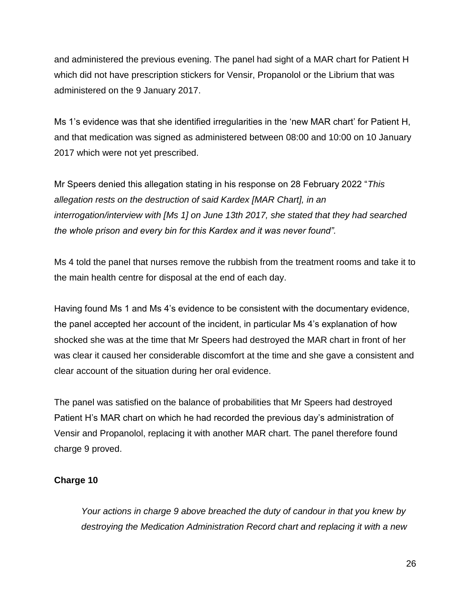and administered the previous evening. The panel had sight of a MAR chart for Patient H which did not have prescription stickers for Vensir, Propanolol or the Librium that was administered on the 9 January 2017.

Ms 1's evidence was that she identified irregularities in the 'new MAR chart' for Patient H, and that medication was signed as administered between 08:00 and 10:00 on 10 January 2017 which were not yet prescribed.

Mr Speers denied this allegation stating in his response on 28 February 2022 "*This allegation rests on the destruction of said Kardex [MAR Chart], in an interrogation/interview with [Ms 1] on June 13th 2017, she stated that they had searched the whole prison and every bin for this Kardex and it was never found".*

Ms 4 told the panel that nurses remove the rubbish from the treatment rooms and take it to the main health centre for disposal at the end of each day.

Having found Ms 1 and Ms 4's evidence to be consistent with the documentary evidence, the panel accepted her account of the incident, in particular Ms 4's explanation of how shocked she was at the time that Mr Speers had destroyed the MAR chart in front of her was clear it caused her considerable discomfort at the time and she gave a consistent and clear account of the situation during her oral evidence.

The panel was satisfied on the balance of probabilities that Mr Speers had destroyed Patient H's MAR chart on which he had recorded the previous day's administration of Vensir and Propanolol, replacing it with another MAR chart. The panel therefore found charge 9 proved.

# **Charge 10**

*Your actions in charge 9 above breached the duty of candour in that you knew by destroying the Medication Administration Record chart and replacing it with a new*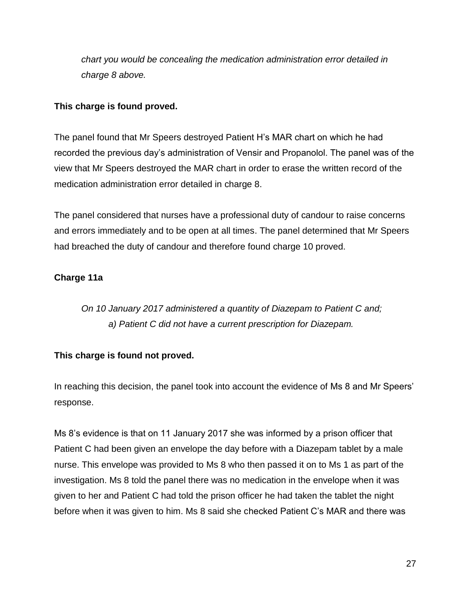*chart you would be concealing the medication administration error detailed in charge 8 above.*

### **This charge is found proved.**

The panel found that Mr Speers destroyed Patient H's MAR chart on which he had recorded the previous day's administration of Vensir and Propanolol. The panel was of the view that Mr Speers destroyed the MAR chart in order to erase the written record of the medication administration error detailed in charge 8.

The panel considered that nurses have a professional duty of candour to raise concerns and errors immediately and to be open at all times. The panel determined that Mr Speers had breached the duty of candour and therefore found charge 10 proved.

# **Charge 11a**

*On 10 January 2017 administered a quantity of Diazepam to Patient C and; a) Patient C did not have a current prescription for Diazepam.*

# **This charge is found not proved.**

In reaching this decision, the panel took into account the evidence of Ms 8 and Mr Speers' response.

Ms 8's evidence is that on 11 January 2017 she was informed by a prison officer that Patient C had been given an envelope the day before with a Diazepam tablet by a male nurse. This envelope was provided to Ms 8 who then passed it on to Ms 1 as part of the investigation. Ms 8 told the panel there was no medication in the envelope when it was given to her and Patient C had told the prison officer he had taken the tablet the night before when it was given to him. Ms 8 said she checked Patient C's MAR and there was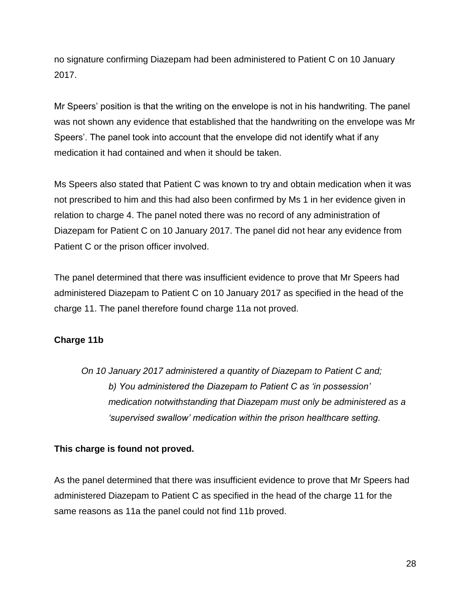no signature confirming Diazepam had been administered to Patient C on 10 January 2017.

Mr Speers' position is that the writing on the envelope is not in his handwriting. The panel was not shown any evidence that established that the handwriting on the envelope was Mr Speers'. The panel took into account that the envelope did not identify what if any medication it had contained and when it should be taken.

Ms Speers also stated that Patient C was known to try and obtain medication when it was not prescribed to him and this had also been confirmed by Ms 1 in her evidence given in relation to charge 4. The panel noted there was no record of any administration of Diazepam for Patient C on 10 January 2017. The panel did not hear any evidence from Patient C or the prison officer involved.

The panel determined that there was insufficient evidence to prove that Mr Speers had administered Diazepam to Patient C on 10 January 2017 as specified in the head of the charge 11. The panel therefore found charge 11a not proved.

# **Charge 11b**

*On 10 January 2017 administered a quantity of Diazepam to Patient C and; b) You administered the Diazepam to Patient C as 'in possession' medication notwithstanding that Diazepam must only be administered as a 'supervised swallow' medication within the prison healthcare setting.*

# **This charge is found not proved.**

As the panel determined that there was insufficient evidence to prove that Mr Speers had administered Diazepam to Patient C as specified in the head of the charge 11 for the same reasons as 11a the panel could not find 11b proved.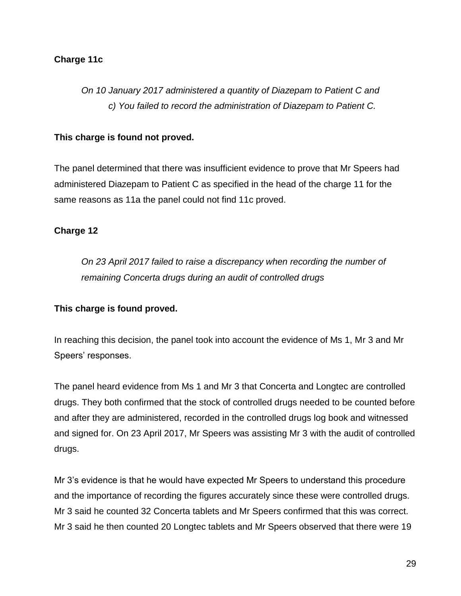#### **Charge 11c**

# *On 10 January 2017 administered a quantity of Diazepam to Patient C and c) You failed to record the administration of Diazepam to Patient C.*

#### **This charge is found not proved.**

The panel determined that there was insufficient evidence to prove that Mr Speers had administered Diazepam to Patient C as specified in the head of the charge 11 for the same reasons as 11a the panel could not find 11c proved.

#### **Charge 12**

*On 23 April 2017 failed to raise a discrepancy when recording the number of remaining Concerta drugs during an audit of controlled drugs*

#### **This charge is found proved.**

In reaching this decision, the panel took into account the evidence of Ms 1, Mr 3 and Mr Speers' responses.

The panel heard evidence from Ms 1 and Mr 3 that Concerta and Longtec are controlled drugs. They both confirmed that the stock of controlled drugs needed to be counted before and after they are administered, recorded in the controlled drugs log book and witnessed and signed for. On 23 April 2017, Mr Speers was assisting Mr 3 with the audit of controlled drugs.

Mr 3's evidence is that he would have expected Mr Speers to understand this procedure and the importance of recording the figures accurately since these were controlled drugs. Mr 3 said he counted 32 Concerta tablets and Mr Speers confirmed that this was correct. Mr 3 said he then counted 20 Longtec tablets and Mr Speers observed that there were 19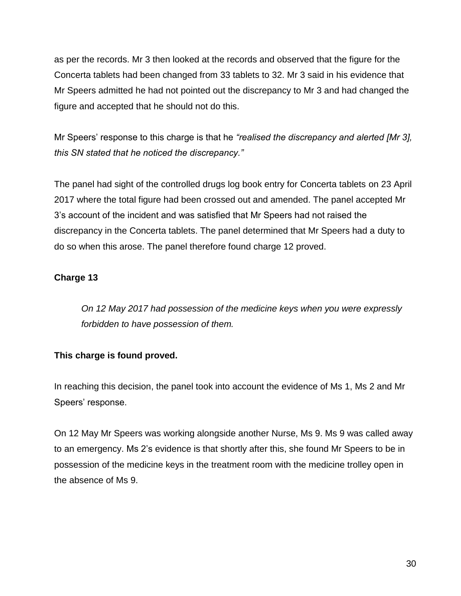as per the records. Mr 3 then looked at the records and observed that the figure for the Concerta tablets had been changed from 33 tablets to 32. Mr 3 said in his evidence that Mr Speers admitted he had not pointed out the discrepancy to Mr 3 and had changed the figure and accepted that he should not do this.

Mr Speers' response to this charge is that he *"realised the discrepancy and alerted [Mr 3], this SN stated that he noticed the discrepancy."*

The panel had sight of the controlled drugs log book entry for Concerta tablets on 23 April 2017 where the total figure had been crossed out and amended. The panel accepted Mr 3's account of the incident and was satisfied that Mr Speers had not raised the discrepancy in the Concerta tablets. The panel determined that Mr Speers had a duty to do so when this arose. The panel therefore found charge 12 proved.

# **Charge 13**

*On 12 May 2017 had possession of the medicine keys when you were expressly forbidden to have possession of them.*

# **This charge is found proved.**

In reaching this decision, the panel took into account the evidence of Ms 1, Ms 2 and Mr Speers' response.

On 12 May Mr Speers was working alongside another Nurse, Ms 9. Ms 9 was called away to an emergency. Ms 2's evidence is that shortly after this, she found Mr Speers to be in possession of the medicine keys in the treatment room with the medicine trolley open in the absence of Ms 9.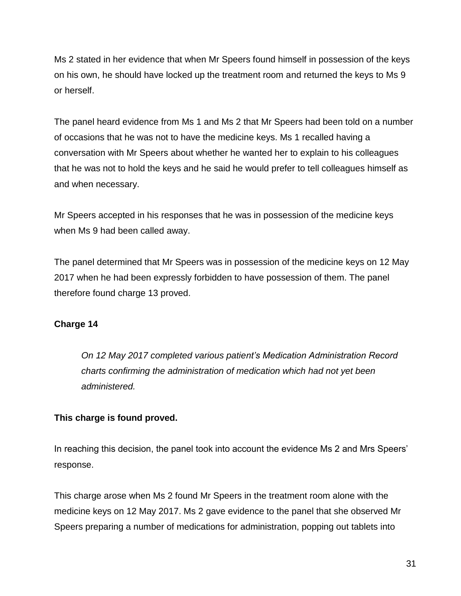Ms 2 stated in her evidence that when Mr Speers found himself in possession of the keys on his own, he should have locked up the treatment room and returned the keys to Ms 9 or herself.

The panel heard evidence from Ms 1 and Ms 2 that Mr Speers had been told on a number of occasions that he was not to have the medicine keys. Ms 1 recalled having a conversation with Mr Speers about whether he wanted her to explain to his colleagues that he was not to hold the keys and he said he would prefer to tell colleagues himself as and when necessary.

Mr Speers accepted in his responses that he was in possession of the medicine keys when Ms 9 had been called away.

The panel determined that Mr Speers was in possession of the medicine keys on 12 May 2017 when he had been expressly forbidden to have possession of them. The panel therefore found charge 13 proved.

# **Charge 14**

*On 12 May 2017 completed various patient's Medication Administration Record charts confirming the administration of medication which had not yet been administered.*

# **This charge is found proved.**

In reaching this decision, the panel took into account the evidence Ms 2 and Mrs Speers' response.

This charge arose when Ms 2 found Mr Speers in the treatment room alone with the medicine keys on 12 May 2017. Ms 2 gave evidence to the panel that she observed Mr Speers preparing a number of medications for administration, popping out tablets into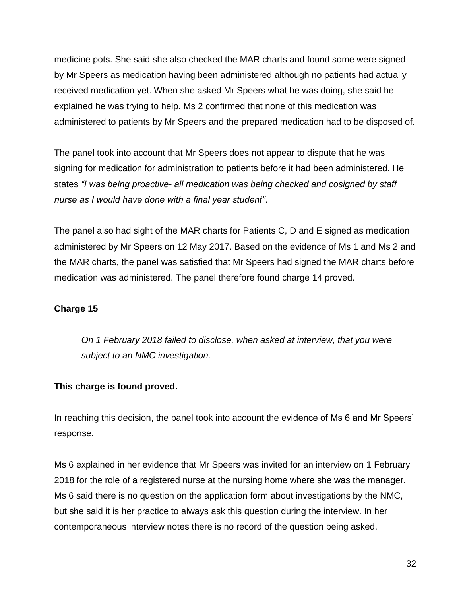medicine pots. She said she also checked the MAR charts and found some were signed by Mr Speers as medication having been administered although no patients had actually received medication yet. When she asked Mr Speers what he was doing, she said he explained he was trying to help. Ms 2 confirmed that none of this medication was administered to patients by Mr Speers and the prepared medication had to be disposed of.

The panel took into account that Mr Speers does not appear to dispute that he was signing for medication for administration to patients before it had been administered. He states *"I was being proactive- all medication was being checked and cosigned by staff nurse as I would have done with a final year student"*.

The panel also had sight of the MAR charts for Patients C, D and E signed as medication administered by Mr Speers on 12 May 2017. Based on the evidence of Ms 1 and Ms 2 and the MAR charts, the panel was satisfied that Mr Speers had signed the MAR charts before medication was administered. The panel therefore found charge 14 proved.

# **Charge 15**

*On 1 February 2018 failed to disclose, when asked at interview, that you were subject to an NMC investigation.*

# **This charge is found proved.**

In reaching this decision, the panel took into account the evidence of Ms 6 and Mr Speers' response.

Ms 6 explained in her evidence that Mr Speers was invited for an interview on 1 February 2018 for the role of a registered nurse at the nursing home where she was the manager. Ms 6 said there is no question on the application form about investigations by the NMC, but she said it is her practice to always ask this question during the interview. In her contemporaneous interview notes there is no record of the question being asked.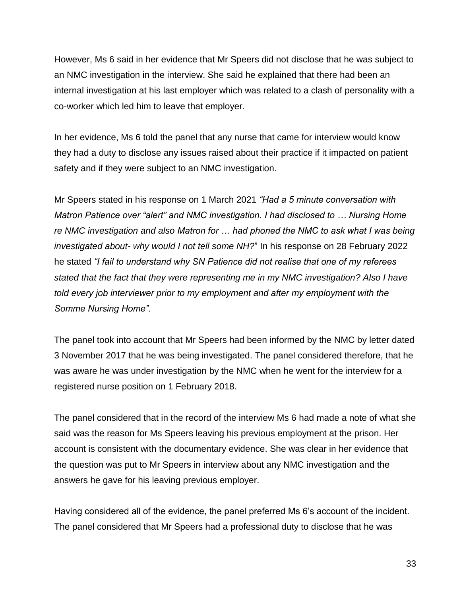However, Ms 6 said in her evidence that Mr Speers did not disclose that he was subject to an NMC investigation in the interview. She said he explained that there had been an internal investigation at his last employer which was related to a clash of personality with a co-worker which led him to leave that employer.

In her evidence, Ms 6 told the panel that any nurse that came for interview would know they had a duty to disclose any issues raised about their practice if it impacted on patient safety and if they were subject to an NMC investigation.

Mr Speers stated in his response on 1 March 2021 *"Had a 5 minute conversation with Matron Patience over "alert" and NMC investigation. I had disclosed to … Nursing Home re NMC investigation and also Matron for … had phoned the NMC to ask what I was being investigated about- why would I not tell some NH?*" In his response on 28 February 2022 he stated *"I fail to understand why SN Patience did not realise that one of my referees stated that the fact that they were representing me in my NMC investigation? Also I have told every job interviewer prior to my employment and after my employment with the Somme Nursing Home".*

The panel took into account that Mr Speers had been informed by the NMC by letter dated 3 November 2017 that he was being investigated. The panel considered therefore, that he was aware he was under investigation by the NMC when he went for the interview for a registered nurse position on 1 February 2018.

The panel considered that in the record of the interview Ms 6 had made a note of what she said was the reason for Ms Speers leaving his previous employment at the prison. Her account is consistent with the documentary evidence. She was clear in her evidence that the question was put to Mr Speers in interview about any NMC investigation and the answers he gave for his leaving previous employer.

Having considered all of the evidence, the panel preferred Ms 6's account of the incident. The panel considered that Mr Speers had a professional duty to disclose that he was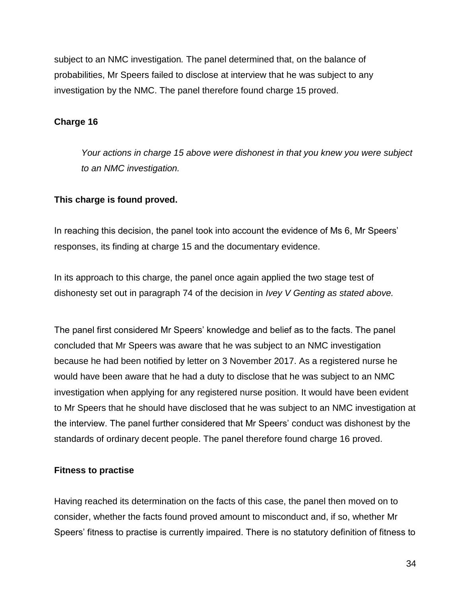subject to an NMC investigation*.* The panel determined that, on the balance of probabilities, Mr Speers failed to disclose at interview that he was subject to any investigation by the NMC. The panel therefore found charge 15 proved.

### **Charge 16**

*Your actions in charge 15 above were dishonest in that you knew you were subject to an NMC investigation.*

#### **This charge is found proved.**

In reaching this decision, the panel took into account the evidence of Ms 6, Mr Speers' responses, its finding at charge 15 and the documentary evidence.

In its approach to this charge, the panel once again applied the two stage test of dishonesty set out in paragraph 74 of the decision in *Ivey V Genting as stated above.*

The panel first considered Mr Speers' knowledge and belief as to the facts. The panel concluded that Mr Speers was aware that he was subject to an NMC investigation because he had been notified by letter on 3 November 2017. As a registered nurse he would have been aware that he had a duty to disclose that he was subject to an NMC investigation when applying for any registered nurse position. It would have been evident to Mr Speers that he should have disclosed that he was subject to an NMC investigation at the interview. The panel further considered that Mr Speers' conduct was dishonest by the standards of ordinary decent people. The panel therefore found charge 16 proved.

# **Fitness to practise**

Having reached its determination on the facts of this case, the panel then moved on to consider, whether the facts found proved amount to misconduct and, if so, whether Mr Speers' fitness to practise is currently impaired. There is no statutory definition of fitness to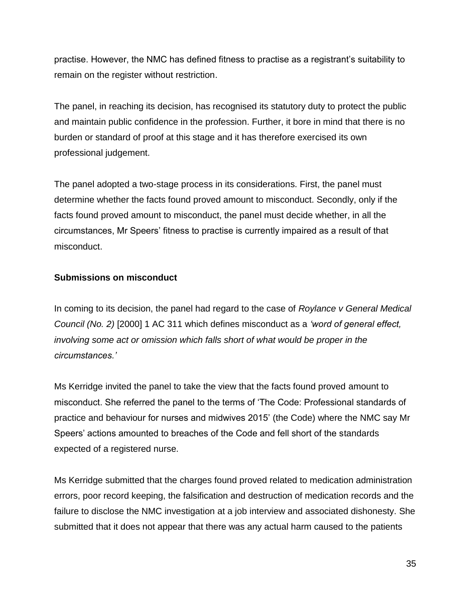practise. However, the NMC has defined fitness to practise as a registrant's suitability to remain on the register without restriction.

The panel, in reaching its decision, has recognised its statutory duty to protect the public and maintain public confidence in the profession. Further, it bore in mind that there is no burden or standard of proof at this stage and it has therefore exercised its own professional judgement.

The panel adopted a two-stage process in its considerations. First, the panel must determine whether the facts found proved amount to misconduct. Secondly, only if the facts found proved amount to misconduct, the panel must decide whether, in all the circumstances, Mr Speers' fitness to practise is currently impaired as a result of that misconduct.

# **Submissions on misconduct**

In coming to its decision, the panel had regard to the case of *Roylance v General Medical Council (No. 2)* [2000] 1 AC 311 which defines misconduct as a *'word of general effect, involving some act or omission which falls short of what would be proper in the circumstances.'*

Ms Kerridge invited the panel to take the view that the facts found proved amount to misconduct. She referred the panel to the terms of 'The Code: Professional standards of practice and behaviour for nurses and midwives 2015' (the Code) where the NMC say Mr Speers' actions amounted to breaches of the Code and fell short of the standards expected of a registered nurse.

Ms Kerridge submitted that the charges found proved related to medication administration errors, poor record keeping, the falsification and destruction of medication records and the failure to disclose the NMC investigation at a job interview and associated dishonesty. She submitted that it does not appear that there was any actual harm caused to the patients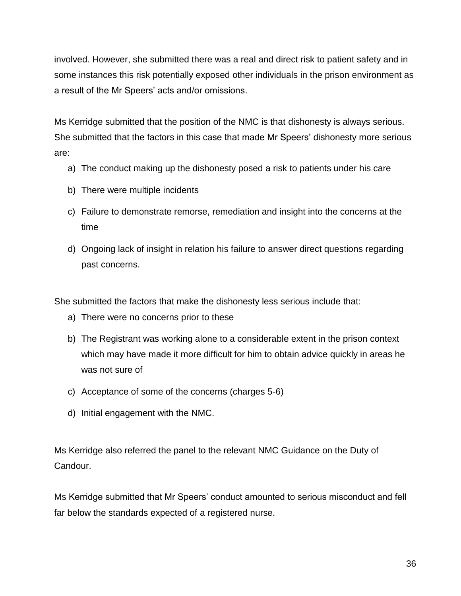involved. However, she submitted there was a real and direct risk to patient safety and in some instances this risk potentially exposed other individuals in the prison environment as a result of the Mr Speers' acts and/or omissions.

Ms Kerridge submitted that the position of the NMC is that dishonesty is always serious. She submitted that the factors in this case that made Mr Speers' dishonesty more serious are:

- a) The conduct making up the dishonesty posed a risk to patients under his care
- b) There were multiple incidents
- c) Failure to demonstrate remorse, remediation and insight into the concerns at the time
- d) Ongoing lack of insight in relation his failure to answer direct questions regarding past concerns.

She submitted the factors that make the dishonesty less serious include that:

- a) There were no concerns prior to these
- b) The Registrant was working alone to a considerable extent in the prison context which may have made it more difficult for him to obtain advice quickly in areas he was not sure of
- c) Acceptance of some of the concerns (charges 5-6)
- d) Initial engagement with the NMC.

Ms Kerridge also referred the panel to the relevant NMC Guidance on the Duty of Candour.

Ms Kerridge submitted that Mr Speers' conduct amounted to serious misconduct and fell far below the standards expected of a registered nurse.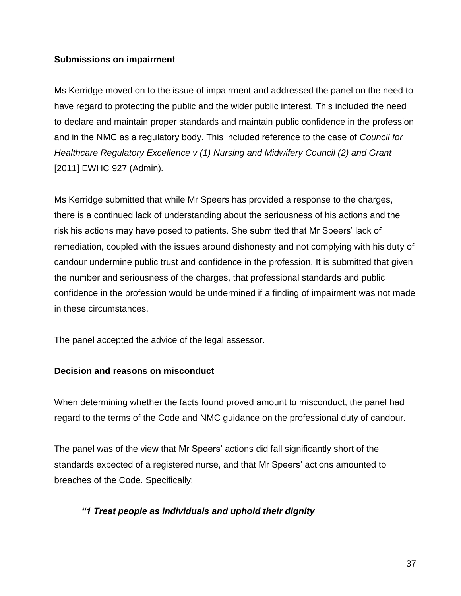#### **Submissions on impairment**

Ms Kerridge moved on to the issue of impairment and addressed the panel on the need to have regard to protecting the public and the wider public interest. This included the need to declare and maintain proper standards and maintain public confidence in the profession and in the NMC as a regulatory body. This included reference to the case of *Council for Healthcare Regulatory Excellence v (1) Nursing and Midwifery Council (2) and Grant*  [2011] EWHC 927 (Admin)*.*

Ms Kerridge submitted that while Mr Speers has provided a response to the charges, there is a continued lack of understanding about the seriousness of his actions and the risk his actions may have posed to patients. She submitted that Mr Speers' lack of remediation, coupled with the issues around dishonesty and not complying with his duty of candour undermine public trust and confidence in the profession. It is submitted that given the number and seriousness of the charges, that professional standards and public confidence in the profession would be undermined if a finding of impairment was not made in these circumstances.

The panel accepted the advice of the legal assessor.

# **Decision and reasons on misconduct**

When determining whether the facts found proved amount to misconduct, the panel had regard to the terms of the Code and NMC guidance on the professional duty of candour.

The panel was of the view that Mr Speers' actions did fall significantly short of the standards expected of a registered nurse, and that Mr Speers' actions amounted to breaches of the Code. Specifically:

# *"1 Treat people as individuals and uphold their dignity*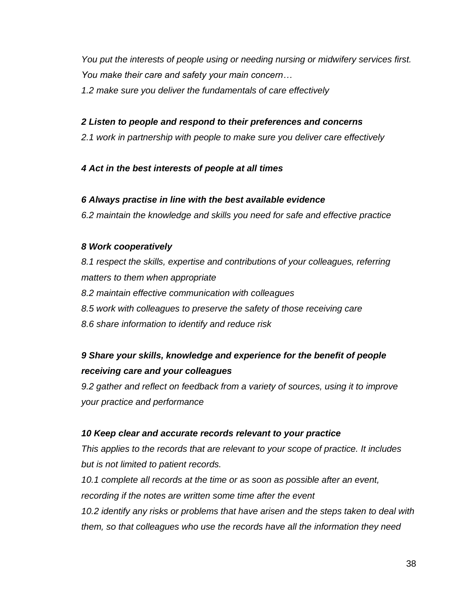*You put the interests of people using or needing nursing or midwifery services first. You make their care and safety your main concern…*

*1.2 make sure you deliver the fundamentals of care effectively*

# *2 Listen to people and respond to their preferences and concerns*

*2.1 work in partnership with people to make sure you deliver care effectively* 

# *4 Act in the best interests of people at all times*

# *6 Always practise in line with the best available evidence*

*6.2 maintain the knowledge and skills you need for safe and effective practice*

# *8 Work cooperatively*

*8.1 respect the skills, expertise and contributions of your colleagues, referring matters to them when appropriate 8.2 maintain effective communication with colleagues 8.5 work with colleagues to preserve the safety of those receiving care 8.6 share information to identify and reduce risk*

# *9 Share your skills, knowledge and experience for the benefit of people receiving care and your colleagues*

*9.2 gather and reflect on feedback from a variety of sources, using it to improve your practice and performance*

# *10 Keep clear and accurate records relevant to your practice*

*This applies to the records that are relevant to your scope of practice. It includes but is not limited to patient records.*

*10.1 complete all records at the time or as soon as possible after an event, recording if the notes are written some time after the event 10.2 identify any risks or problems that have arisen and the steps taken to deal with them, so that colleagues who use the records have all the information they need*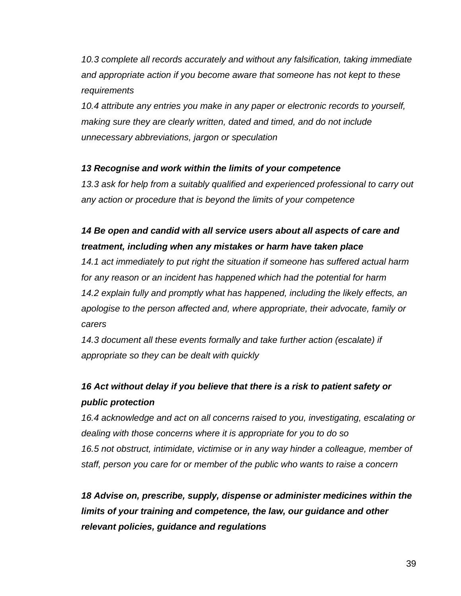*10.3 complete all records accurately and without any falsification, taking immediate and appropriate action if you become aware that someone has not kept to these requirements*

*10.4 attribute any entries you make in any paper or electronic records to yourself, making sure they are clearly written, dated and timed, and do not include unnecessary abbreviations, jargon or speculation*

# *13 Recognise and work within the limits of your competence*

*13.3 ask for help from a suitably qualified and experienced professional to carry out any action or procedure that is beyond the limits of your competence*

# *14 Be open and candid with all service users about all aspects of care and treatment, including when any mistakes or harm have taken place*

*14.1 act immediately to put right the situation if someone has suffered actual harm for any reason or an incident has happened which had the potential for harm 14.2 explain fully and promptly what has happened, including the likely effects, an apologise to the person affected and, where appropriate, their advocate, family or carers*

*14.3 document all these events formally and take further action (escalate) if appropriate so they can be dealt with quickly*

# *16 Act without delay if you believe that there is a risk to patient safety or public protection*

*16.4 acknowledge and act on all concerns raised to you, investigating, escalating or dealing with those concerns where it is appropriate for you to do so* 16.5 not obstruct, intimidate, victimise or in any way hinder a colleague, member of *staff, person you care for or member of the public who wants to raise a concern*

*18 Advise on, prescribe, supply, dispense or administer medicines within the limits of your training and competence, the law, our guidance and other relevant policies, guidance and regulations*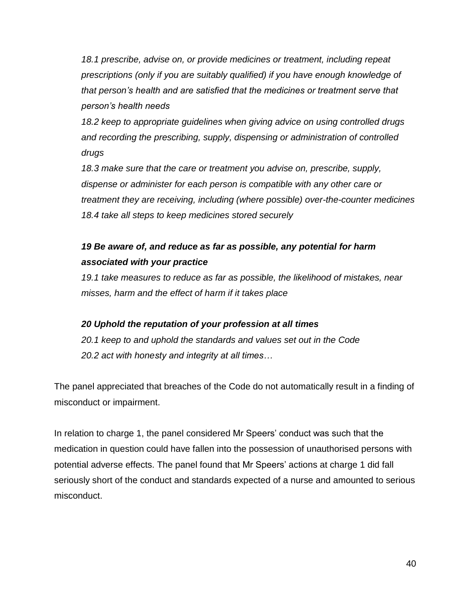*18.1 prescribe, advise on, or provide medicines or treatment, including repeat prescriptions (only if you are suitably qualified) if you have enough knowledge of that person's health and are satisfied that the medicines or treatment serve that person's health needs*

*18.2 keep to appropriate guidelines when giving advice on using controlled drugs and recording the prescribing, supply, dispensing or administration of controlled drugs*

*18.3 make sure that the care or treatment you advise on, prescribe, supply, dispense or administer for each person is compatible with any other care or treatment they are receiving, including (where possible) over-the-counter medicines 18.4 take all steps to keep medicines stored securely*

# *19 Be aware of, and reduce as far as possible, any potential for harm associated with your practice*

*19.1 take measures to reduce as far as possible, the likelihood of mistakes, near misses, harm and the effect of harm if it takes place*

# *20 Uphold the reputation of your profession at all times*

*20.1 keep to and uphold the standards and values set out in the Code 20.2 act with honesty and integrity at all times…*

The panel appreciated that breaches of the Code do not automatically result in a finding of misconduct or impairment.

In relation to charge 1, the panel considered Mr Speers' conduct was such that the medication in question could have fallen into the possession of unauthorised persons with potential adverse effects. The panel found that Mr Speers' actions at charge 1 did fall seriously short of the conduct and standards expected of a nurse and amounted to serious misconduct.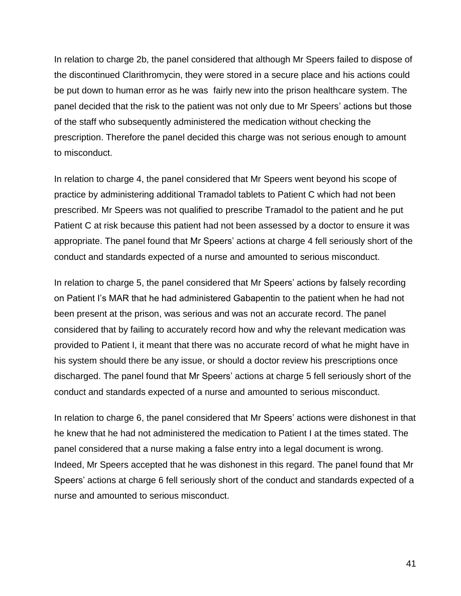In relation to charge 2b, the panel considered that although Mr Speers failed to dispose of the discontinued Clarithromycin, they were stored in a secure place and his actions could be put down to human error as he was fairly new into the prison healthcare system. The panel decided that the risk to the patient was not only due to Mr Speers' actions but those of the staff who subsequently administered the medication without checking the prescription. Therefore the panel decided this charge was not serious enough to amount to misconduct.

In relation to charge 4, the panel considered that Mr Speers went beyond his scope of practice by administering additional Tramadol tablets to Patient C which had not been prescribed. Mr Speers was not qualified to prescribe Tramadol to the patient and he put Patient C at risk because this patient had not been assessed by a doctor to ensure it was appropriate. The panel found that Mr Speers' actions at charge 4 fell seriously short of the conduct and standards expected of a nurse and amounted to serious misconduct.

In relation to charge 5, the panel considered that Mr Speers' actions by falsely recording on Patient I's MAR that he had administered Gabapentin to the patient when he had not been present at the prison, was serious and was not an accurate record. The panel considered that by failing to accurately record how and why the relevant medication was provided to Patient I, it meant that there was no accurate record of what he might have in his system should there be any issue, or should a doctor review his prescriptions once discharged. The panel found that Mr Speers' actions at charge 5 fell seriously short of the conduct and standards expected of a nurse and amounted to serious misconduct.

In relation to charge 6, the panel considered that Mr Speers' actions were dishonest in that he knew that he had not administered the medication to Patient I at the times stated. The panel considered that a nurse making a false entry into a legal document is wrong. Indeed, Mr Speers accepted that he was dishonest in this regard. The panel found that Mr Speers' actions at charge 6 fell seriously short of the conduct and standards expected of a nurse and amounted to serious misconduct.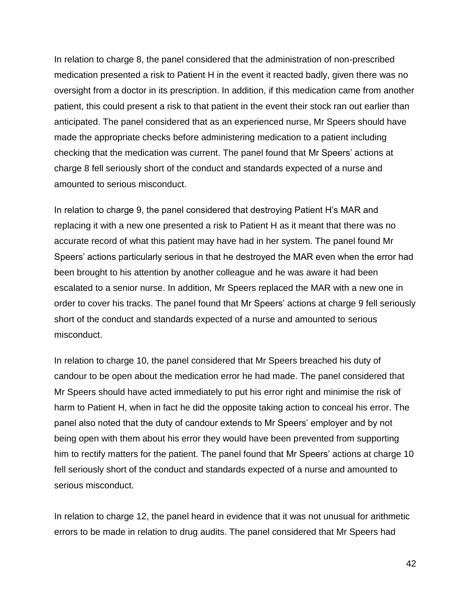In relation to charge 8, the panel considered that the administration of non-prescribed medication presented a risk to Patient H in the event it reacted badly, given there was no oversight from a doctor in its prescription. In addition, if this medication came from another patient, this could present a risk to that patient in the event their stock ran out earlier than anticipated. The panel considered that as an experienced nurse, Mr Speers should have made the appropriate checks before administering medication to a patient including checking that the medication was current. The panel found that Mr Speers' actions at charge 8 fell seriously short of the conduct and standards expected of a nurse and amounted to serious misconduct.

In relation to charge 9, the panel considered that destroying Patient H's MAR and replacing it with a new one presented a risk to Patient H as it meant that there was no accurate record of what this patient may have had in her system. The panel found Mr Speers' actions particularly serious in that he destroyed the MAR even when the error had been brought to his attention by another colleague and he was aware it had been escalated to a senior nurse. In addition, Mr Speers replaced the MAR with a new one in order to cover his tracks. The panel found that Mr Speers' actions at charge 9 fell seriously short of the conduct and standards expected of a nurse and amounted to serious misconduct.

In relation to charge 10, the panel considered that Mr Speers breached his duty of candour to be open about the medication error he had made. The panel considered that Mr Speers should have acted immediately to put his error right and minimise the risk of harm to Patient H, when in fact he did the opposite taking action to conceal his error. The panel also noted that the duty of candour extends to Mr Speers' employer and by not being open with them about his error they would have been prevented from supporting him to rectify matters for the patient. The panel found that Mr Speers' actions at charge 10 fell seriously short of the conduct and standards expected of a nurse and amounted to serious misconduct.

In relation to charge 12, the panel heard in evidence that it was not unusual for arithmetic errors to be made in relation to drug audits. The panel considered that Mr Speers had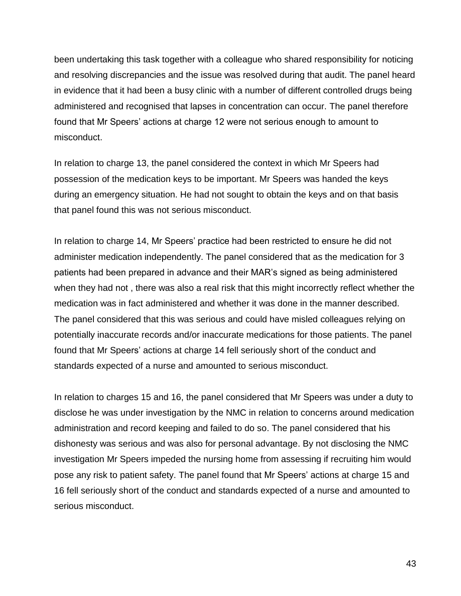been undertaking this task together with a colleague who shared responsibility for noticing and resolving discrepancies and the issue was resolved during that audit. The panel heard in evidence that it had been a busy clinic with a number of different controlled drugs being administered and recognised that lapses in concentration can occur. The panel therefore found that Mr Speers' actions at charge 12 were not serious enough to amount to misconduct.

In relation to charge 13, the panel considered the context in which Mr Speers had possession of the medication keys to be important. Mr Speers was handed the keys during an emergency situation. He had not sought to obtain the keys and on that basis that panel found this was not serious misconduct.

In relation to charge 14, Mr Speers' practice had been restricted to ensure he did not administer medication independently. The panel considered that as the medication for 3 patients had been prepared in advance and their MAR's signed as being administered when they had not , there was also a real risk that this might incorrectly reflect whether the medication was in fact administered and whether it was done in the manner described. The panel considered that this was serious and could have misled colleagues relying on potentially inaccurate records and/or inaccurate medications for those patients. The panel found that Mr Speers' actions at charge 14 fell seriously short of the conduct and standards expected of a nurse and amounted to serious misconduct.

In relation to charges 15 and 16, the panel considered that Mr Speers was under a duty to disclose he was under investigation by the NMC in relation to concerns around medication administration and record keeping and failed to do so. The panel considered that his dishonesty was serious and was also for personal advantage. By not disclosing the NMC investigation Mr Speers impeded the nursing home from assessing if recruiting him would pose any risk to patient safety. The panel found that Mr Speers' actions at charge 15 and 16 fell seriously short of the conduct and standards expected of a nurse and amounted to serious misconduct.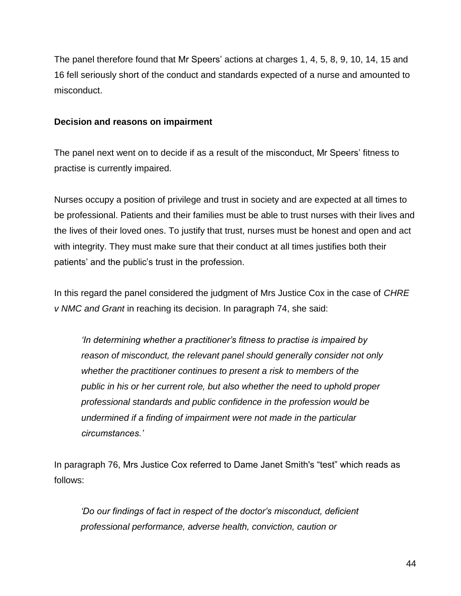The panel therefore found that Mr Speers' actions at charges 1, 4, 5, 8, 9, 10, 14, 15 and 16 fell seriously short of the conduct and standards expected of a nurse and amounted to misconduct.

#### **Decision and reasons on impairment**

The panel next went on to decide if as a result of the misconduct, Mr Speers' fitness to practise is currently impaired.

Nurses occupy a position of privilege and trust in society and are expected at all times to be professional. Patients and their families must be able to trust nurses with their lives and the lives of their loved ones. To justify that trust, nurses must be honest and open and act with integrity. They must make sure that their conduct at all times justifies both their patients' and the public's trust in the profession.

In this regard the panel considered the judgment of Mrs Justice Cox in the case of *CHRE v NMC and Grant* in reaching its decision. In paragraph 74, she said:

*'In determining whether a practitioner's fitness to practise is impaired by reason of misconduct, the relevant panel should generally consider not only whether the practitioner continues to present a risk to members of the public in his or her current role, but also whether the need to uphold proper professional standards and public confidence in the profession would be undermined if a finding of impairment were not made in the particular circumstances.'*

In paragraph 76, Mrs Justice Cox referred to Dame Janet Smith's "test" which reads as follows:

*'Do our findings of fact in respect of the doctor's misconduct, deficient professional performance, adverse health, conviction, caution or*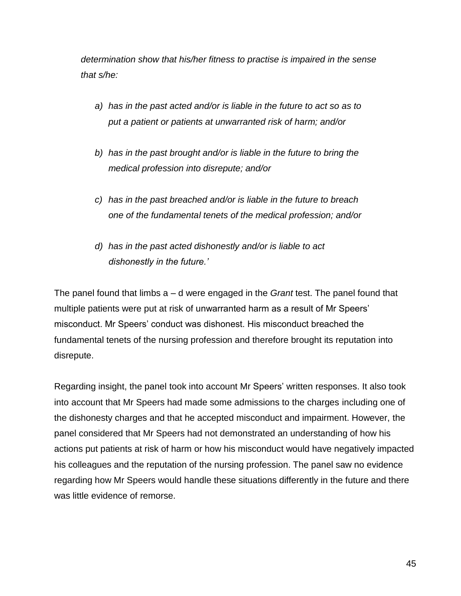*determination show that his/her fitness to practise is impaired in the sense that s/he:*

- *a) has in the past acted and/or is liable in the future to act so as to put a patient or patients at unwarranted risk of harm; and/or*
- *b) has in the past brought and/or is liable in the future to bring the medical profession into disrepute; and/or*
- *c) has in the past breached and/or is liable in the future to breach one of the fundamental tenets of the medical profession; and/or*
- *d) has in the past acted dishonestly and/or is liable to act dishonestly in the future.'*

The panel found that limbs a – d were engaged in the *Grant* test. The panel found that multiple patients were put at risk of unwarranted harm as a result of Mr Speers' misconduct. Mr Speers' conduct was dishonest. His misconduct breached the fundamental tenets of the nursing profession and therefore brought its reputation into disrepute.

Regarding insight, the panel took into account Mr Speers' written responses. It also took into account that Mr Speers had made some admissions to the charges including one of the dishonesty charges and that he accepted misconduct and impairment. However, the panel considered that Mr Speers had not demonstrated an understanding of how his actions put patients at risk of harm or how his misconduct would have negatively impacted his colleagues and the reputation of the nursing profession. The panel saw no evidence regarding how Mr Speers would handle these situations differently in the future and there was little evidence of remorse.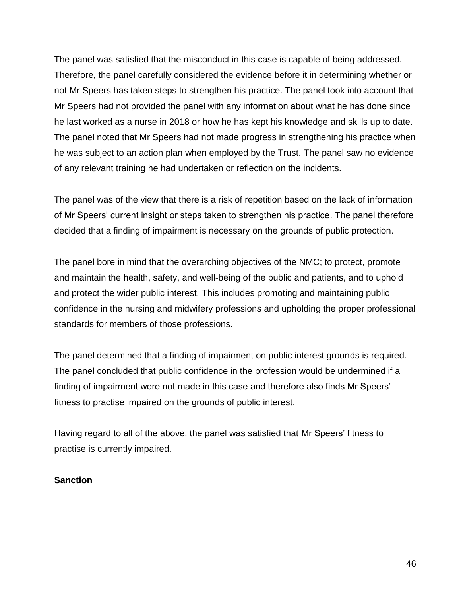The panel was satisfied that the misconduct in this case is capable of being addressed. Therefore, the panel carefully considered the evidence before it in determining whether or not Mr Speers has taken steps to strengthen his practice. The panel took into account that Mr Speers had not provided the panel with any information about what he has done since he last worked as a nurse in 2018 or how he has kept his knowledge and skills up to date. The panel noted that Mr Speers had not made progress in strengthening his practice when he was subject to an action plan when employed by the Trust. The panel saw no evidence of any relevant training he had undertaken or reflection on the incidents.

The panel was of the view that there is a risk of repetition based on the lack of information of Mr Speers' current insight or steps taken to strengthen his practice. The panel therefore decided that a finding of impairment is necessary on the grounds of public protection.

The panel bore in mind that the overarching objectives of the NMC; to protect, promote and maintain the health, safety, and well-being of the public and patients, and to uphold and protect the wider public interest. This includes promoting and maintaining public confidence in the nursing and midwifery professions and upholding the proper professional standards for members of those professions.

The panel determined that a finding of impairment on public interest grounds is required. The panel concluded that public confidence in the profession would be undermined if a finding of impairment were not made in this case and therefore also finds Mr Speers' fitness to practise impaired on the grounds of public interest.

Having regard to all of the above, the panel was satisfied that Mr Speers' fitness to practise is currently impaired.

# **Sanction**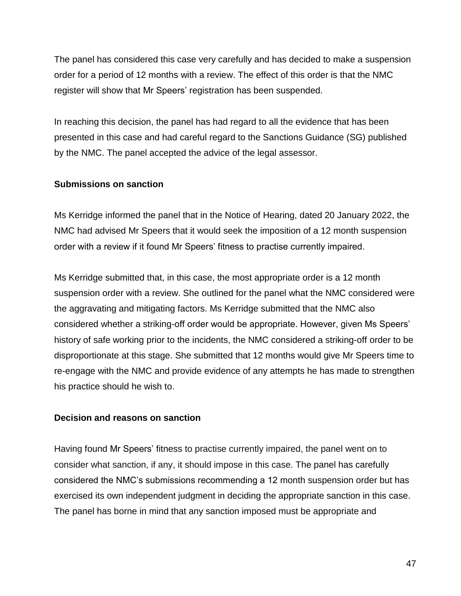The panel has considered this case very carefully and has decided to make a suspension order for a period of 12 months with a review. The effect of this order is that the NMC register will show that Mr Speers' registration has been suspended.

In reaching this decision, the panel has had regard to all the evidence that has been presented in this case and had careful regard to the Sanctions Guidance (SG) published by the NMC. The panel accepted the advice of the legal assessor.

# **Submissions on sanction**

Ms Kerridge informed the panel that in the Notice of Hearing, dated 20 January 2022, the NMC had advised Mr Speers that it would seek the imposition of a 12 month suspension order with a review if it found Mr Speers' fitness to practise currently impaired.

Ms Kerridge submitted that, in this case, the most appropriate order is a 12 month suspension order with a review. She outlined for the panel what the NMC considered were the aggravating and mitigating factors. Ms Kerridge submitted that the NMC also considered whether a striking-off order would be appropriate. However, given Ms Speers' history of safe working prior to the incidents, the NMC considered a striking-off order to be disproportionate at this stage. She submitted that 12 months would give Mr Speers time to re-engage with the NMC and provide evidence of any attempts he has made to strengthen his practice should he wish to.

# **Decision and reasons on sanction**

Having found Mr Speers' fitness to practise currently impaired, the panel went on to consider what sanction, if any, it should impose in this case. The panel has carefully considered the NMC's submissions recommending a 12 month suspension order but has exercised its own independent judgment in deciding the appropriate sanction in this case. The panel has borne in mind that any sanction imposed must be appropriate and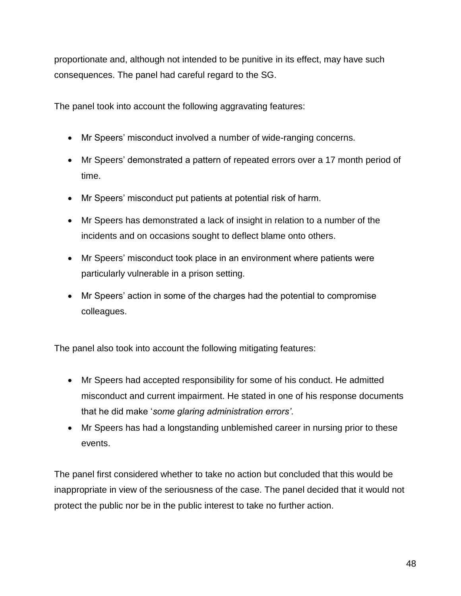proportionate and, although not intended to be punitive in its effect, may have such consequences. The panel had careful regard to the SG.

The panel took into account the following aggravating features:

- Mr Speers' misconduct involved a number of wide-ranging concerns.
- Mr Speers' demonstrated a pattern of repeated errors over a 17 month period of time.
- Mr Speers' misconduct put patients at potential risk of harm.
- Mr Speers has demonstrated a lack of insight in relation to a number of the incidents and on occasions sought to deflect blame onto others.
- Mr Speers' misconduct took place in an environment where patients were particularly vulnerable in a prison setting.
- Mr Speers' action in some of the charges had the potential to compromise colleagues.

The panel also took into account the following mitigating features:

- Mr Speers had accepted responsibility for some of his conduct. He admitted misconduct and current impairment. He stated in one of his response documents that he did make '*some glaring administration errors'*.
- Mr Speers has had a longstanding unblemished career in nursing prior to these events.

The panel first considered whether to take no action but concluded that this would be inappropriate in view of the seriousness of the case. The panel decided that it would not protect the public nor be in the public interest to take no further action.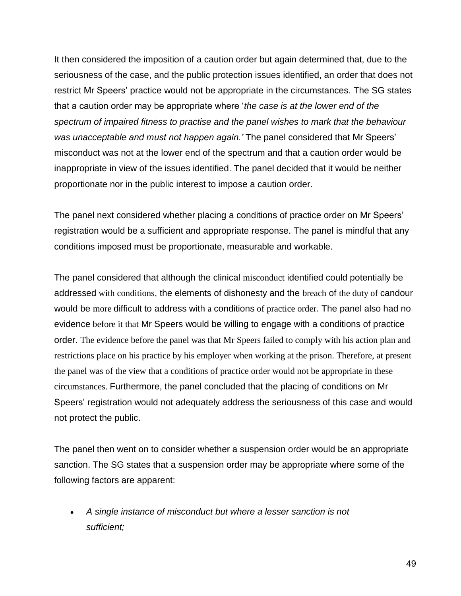It then considered the imposition of a caution order but again determined that, due to the seriousness of the case, and the public protection issues identified, an order that does not restrict Mr Speers' practice would not be appropriate in the circumstances. The SG states that a caution order may be appropriate where '*the case is at the lower end of the spectrum of impaired fitness to practise and the panel wishes to mark that the behaviour was unacceptable and must not happen again.'* The panel considered that Mr Speers' misconduct was not at the lower end of the spectrum and that a caution order would be inappropriate in view of the issues identified. The panel decided that it would be neither proportionate nor in the public interest to impose a caution order.

The panel next considered whether placing a conditions of practice order on Mr Speers' registration would be a sufficient and appropriate response. The panel is mindful that any conditions imposed must be proportionate, measurable and workable.

The panel considered that although the clinical misconduct identified could potentially be addressed with conditions, the elements of dishonesty and the breach of the duty of candour would be more difficult to address with a conditions of practice order. The panel also had no evidence before it that Mr Speers would be willing to engage with a conditions of practice order. The evidence before the panel was that Mr Speers failed to comply with his action plan and restrictions place on his practice by his employer when working at the prison. Therefore, at present the panel was of the view that a conditions of practice order would not be appropriate in these circumstances. Furthermore, the panel concluded that the placing of conditions on Mr Speers' registration would not adequately address the seriousness of this case and would not protect the public.

The panel then went on to consider whether a suspension order would be an appropriate sanction. The SG states that a suspension order may be appropriate where some of the following factors are apparent:

 *A single instance of misconduct but where a lesser sanction is not sufficient;*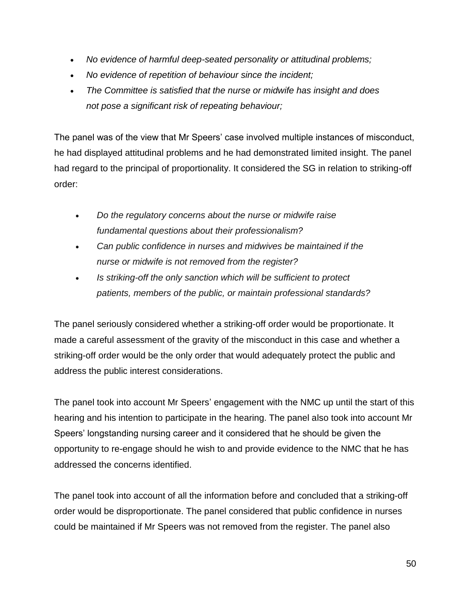- *No evidence of harmful deep-seated personality or attitudinal problems;*
- *No evidence of repetition of behaviour since the incident;*
- *The Committee is satisfied that the nurse or midwife has insight and does not pose a significant risk of repeating behaviour;*

The panel was of the view that Mr Speers' case involved multiple instances of misconduct, he had displayed attitudinal problems and he had demonstrated limited insight. The panel had regard to the principal of proportionality. It considered the SG in relation to striking-off order:

- *Do the regulatory concerns about the nurse or midwife raise fundamental questions about their professionalism?*
- *Can public confidence in nurses and midwives be maintained if the nurse or midwife is not removed from the register?*
- *Is striking-off the only sanction which will be sufficient to protect patients, members of the public, or maintain professional standards?*

The panel seriously considered whether a striking-off order would be proportionate. It made a careful assessment of the gravity of the misconduct in this case and whether a striking-off order would be the only order that would adequately protect the public and address the public interest considerations.

The panel took into account Mr Speers' engagement with the NMC up until the start of this hearing and his intention to participate in the hearing. The panel also took into account Mr Speers' longstanding nursing career and it considered that he should be given the opportunity to re-engage should he wish to and provide evidence to the NMC that he has addressed the concerns identified.

The panel took into account of all the information before and concluded that a striking-off order would be disproportionate. The panel considered that public confidence in nurses could be maintained if Mr Speers was not removed from the register. The panel also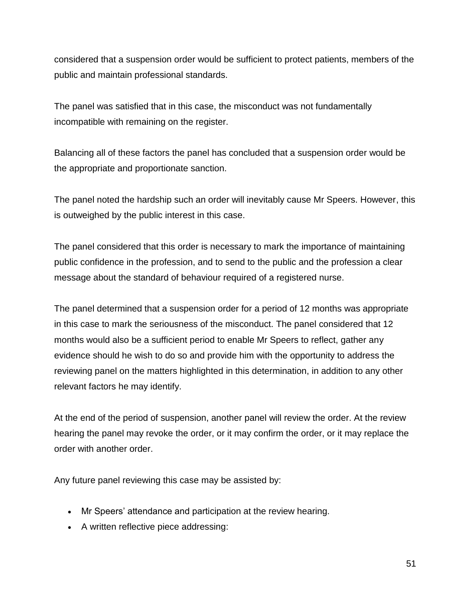considered that a suspension order would be sufficient to protect patients, members of the public and maintain professional standards.

The panel was satisfied that in this case, the misconduct was not fundamentally incompatible with remaining on the register.

Balancing all of these factors the panel has concluded that a suspension order would be the appropriate and proportionate sanction.

The panel noted the hardship such an order will inevitably cause Mr Speers. However, this is outweighed by the public interest in this case.

The panel considered that this order is necessary to mark the importance of maintaining public confidence in the profession, and to send to the public and the profession a clear message about the standard of behaviour required of a registered nurse.

The panel determined that a suspension order for a period of 12 months was appropriate in this case to mark the seriousness of the misconduct. The panel considered that 12 months would also be a sufficient period to enable Mr Speers to reflect, gather any evidence should he wish to do so and provide him with the opportunity to address the reviewing panel on the matters highlighted in this determination, in addition to any other relevant factors he may identify.

At the end of the period of suspension, another panel will review the order. At the review hearing the panel may revoke the order, or it may confirm the order, or it may replace the order with another order.

Any future panel reviewing this case may be assisted by:

- Mr Speers' attendance and participation at the review hearing.
- A written reflective piece addressing: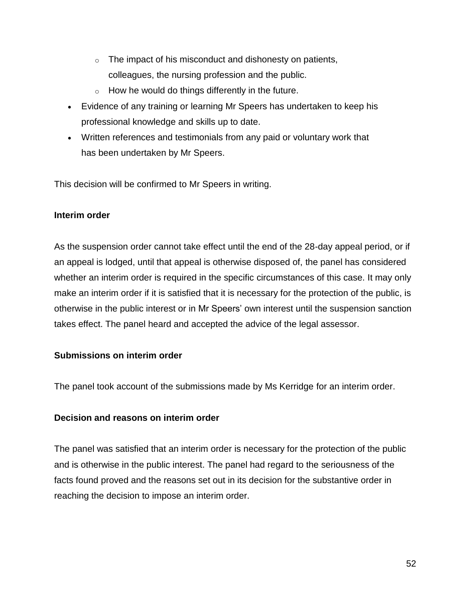- $\circ$  The impact of his misconduct and dishonesty on patients, colleagues, the nursing profession and the public.
- $\circ$  How he would do things differently in the future.
- Evidence of any training or learning Mr Speers has undertaken to keep his professional knowledge and skills up to date.
- Written references and testimonials from any paid or voluntary work that has been undertaken by Mr Speers.

This decision will be confirmed to Mr Speers in writing.

#### **Interim order**

As the suspension order cannot take effect until the end of the 28-day appeal period, or if an appeal is lodged, until that appeal is otherwise disposed of, the panel has considered whether an interim order is required in the specific circumstances of this case. It may only make an interim order if it is satisfied that it is necessary for the protection of the public, is otherwise in the public interest or in Mr Speers' own interest until the suspension sanction takes effect. The panel heard and accepted the advice of the legal assessor.

# **Submissions on interim order**

The panel took account of the submissions made by Ms Kerridge for an interim order.

# **Decision and reasons on interim order**

The panel was satisfied that an interim order is necessary for the protection of the public and is otherwise in the public interest. The panel had regard to the seriousness of the facts found proved and the reasons set out in its decision for the substantive order in reaching the decision to impose an interim order.